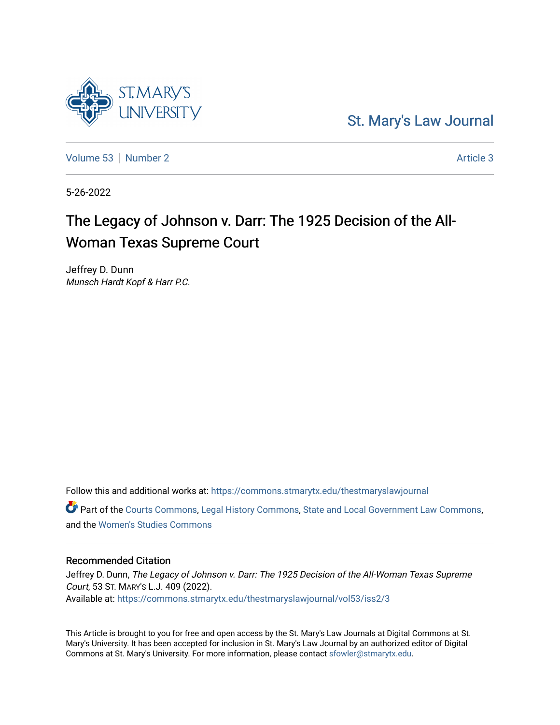

[St. Mary's Law Journal](https://commons.stmarytx.edu/thestmaryslawjournal) 

[Volume 53](https://commons.stmarytx.edu/thestmaryslawjournal/vol53) [Number 2](https://commons.stmarytx.edu/thestmaryslawjournal/vol53/iss2) [Article 3](https://commons.stmarytx.edu/thestmaryslawjournal/vol53/iss2/3) Article 3

5-26-2022

# The Legacy of Johnson v. Darr: The 1925 Decision of the All-Woman Texas Supreme Court

Jeffrey D. Dunn Munsch Hardt Kopf & Harr P.C.

Follow this and additional works at: [https://commons.stmarytx.edu/thestmaryslawjournal](https://commons.stmarytx.edu/thestmaryslawjournal?utm_source=commons.stmarytx.edu%2Fthestmaryslawjournal%2Fvol53%2Fiss2%2F3&utm_medium=PDF&utm_campaign=PDFCoverPages)  Part of the [Courts Commons,](https://network.bepress.com/hgg/discipline/839?utm_source=commons.stmarytx.edu%2Fthestmaryslawjournal%2Fvol53%2Fiss2%2F3&utm_medium=PDF&utm_campaign=PDFCoverPages) [Legal History Commons](https://network.bepress.com/hgg/discipline/904?utm_source=commons.stmarytx.edu%2Fthestmaryslawjournal%2Fvol53%2Fiss2%2F3&utm_medium=PDF&utm_campaign=PDFCoverPages), [State and Local Government Law Commons,](https://network.bepress.com/hgg/discipline/879?utm_source=commons.stmarytx.edu%2Fthestmaryslawjournal%2Fvol53%2Fiss2%2F3&utm_medium=PDF&utm_campaign=PDFCoverPages) and the [Women's Studies Commons](https://network.bepress.com/hgg/discipline/561?utm_source=commons.stmarytx.edu%2Fthestmaryslawjournal%2Fvol53%2Fiss2%2F3&utm_medium=PDF&utm_campaign=PDFCoverPages) 

### Recommended Citation

Jeffrey D. Dunn, The Legacy of Johnson v. Darr: The 1925 Decision of the All-Woman Texas Supreme Court, 53 ST. MARY'S L.J. 409 (2022). Available at: [https://commons.stmarytx.edu/thestmaryslawjournal/vol53/iss2/3](https://commons.stmarytx.edu/thestmaryslawjournal/vol53/iss2/3?utm_source=commons.stmarytx.edu%2Fthestmaryslawjournal%2Fvol53%2Fiss2%2F3&utm_medium=PDF&utm_campaign=PDFCoverPages) 

This Article is brought to you for free and open access by the St. Mary's Law Journals at Digital Commons at St. Mary's University. It has been accepted for inclusion in St. Mary's Law Journal by an authorized editor of Digital Commons at St. Mary's University. For more information, please contact [sfowler@stmarytx.edu](mailto:sfowler@stmarytx.edu).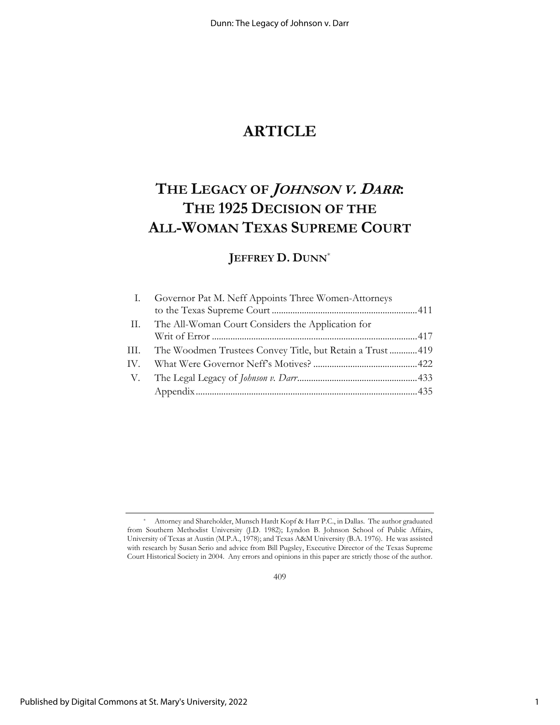## **ARTICLE**

## **THE LEGACY OF JOHNSON V. <sup>D</sup>ARR: THE 1925 DECISION OF THE ALL-WOMAN TEXAS SUPREME COURT**

## **JEFFREY D. DUNN**\*

| $\mathbf{I}$ . | Governor Pat M. Neff Appoints Three Women-Attorneys            |  |
|----------------|----------------------------------------------------------------|--|
|                |                                                                |  |
|                | II. The All-Woman Court Considers the Application for          |  |
|                |                                                                |  |
|                | III. The Woodmen Trustees Convey Title, but Retain a Trust 419 |  |
|                |                                                                |  |
|                |                                                                |  |
|                |                                                                |  |
|                |                                                                |  |

409

Attorney and Shareholder, Munsch Hardt Kopf & Harr P.C., in Dallas. The author graduated from Southern Methodist University (J.D. 1982); Lyndon B. Johnson School of Public Affairs, University of Texas at Austin (M.P.A., 1978); and Texas A&M University (B.A. 1976). He was assisted with research by Susan Serio and advice from Bill Pugsley, Executive Director of the Texas Supreme Court Historical Society in 2004. Any errors and opinions in this paper are strictly those of the author.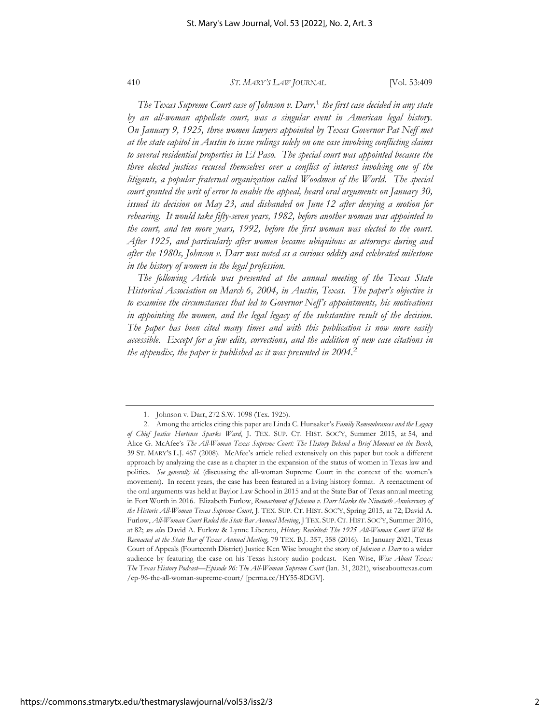*The Texas Supreme Court case of Johnson v. Darr,*1  *the first case decided in any state by an all-woman appellate court, was a singular event in American legal history. On January 9, 1925, three women lawyers appointed by Texas Governor Pat Neff met at the state capitol in Austin to issue rulings solely on one case involving conflicting claims to several residential properties in El Paso. The special court was appointed because the three elected justices recused themselves over a conflict of interest involving one of the litigants, a popular fraternal organization called Woodmen of the World. The special court granted the writ of error to enable the appeal, heard oral arguments on January 30, issued its decision on May 23, and disbanded on June 12 after denying a motion for rehearing. It would take fifty-seven years, 1982, before another woman was appointed to the court, and ten more years, 1992, before the first woman was elected to the court. After 1925, and particularly after women became ubiquitous as attorneys during and after the 1980s, Johnson v. Darr was noted as a curious oddity and celebrated milestone in the history of women in the legal profession.*

*The following Article was presented at the annual meeting of the Texas State Historical Association on March 6, 2004, in Austin, Texas. The paper's objective is to examine the circumstances that led to Governor Neff's appointments, his motivations in appointing the women, and the legal legacy of the substantive result of the decision.*  The paper has been cited many times and with this publication is now more easily *accessible. Except for a few edits, corrections, and the addition of new case citations in the appendix, the paper is published as it was presented in 2004.*2

<sup>1.</sup> Johnson v. Darr, 272 S.W. 1098 (Tex. 1925).

<sup>2.</sup> Among the articles citing this paper are Linda C. Hunsaker's *Family Remembrances and the Legacy of Chief Justice Hortense Sparks Ward*, J. TEX. SUP. CT. HIST. SOC'Y, Summer 2015, at 54, and Alice G. McAfee's *The All-Woman Texas Supreme Court: The History Behind a Brief Moment on the Bench*, 39 ST. MARY'S L.J. 467 (2008). McAfee's article relied extensively on this paper but took a different approach by analyzing the case as a chapter in the expansion of the status of women in Texas law and politics. *See generally id.* (discussing the all-woman Supreme Court in the context of the women's movement). In recent years, the case has been featured in a living history format. A reenactment of the oral arguments was held at Baylor Law School in 2015 and at the State Bar of Texas annual meeting in Fort Worth in 2016. Elizabeth Furlow, *Reenactment of Johnson v. Darr Marks the Ninetieth Anniversary of the Historic All-Woman Texas Supreme Court*, J. TEX. SUP. CT. HIST. SOC'Y, Spring 2015, at 72; David A. Furlow, *All-Woman Court Ruled the State Bar Annual Meeting*, J TEX. SUP. CT. HIST. SOC'Y, Summer 2016, at 82; *see also* David A. Furlow & Lynne Liberato, *History Revisited: The 1925 All-Woman Court Will Be Reenacted at the State Bar of Texas Annual Meeting,* 79 TEX. B.J. 357, 358 (2016). In January 2021, Texas Court of Appeals (Fourteenth District) Justice Ken Wise brought the story of *Johnson v. Darr* to a wider audience by featuring the case on his Texas history audio podcast. Ken Wise, *Wise About Texas: The Texas History Podcast—Episode 96: The All-Woman Supreme Court* (Jan. 31, 2021), wiseabouttexas.com /ep-96-the-all-woman-supreme-court/ [perma.cc/HY55-8DGV].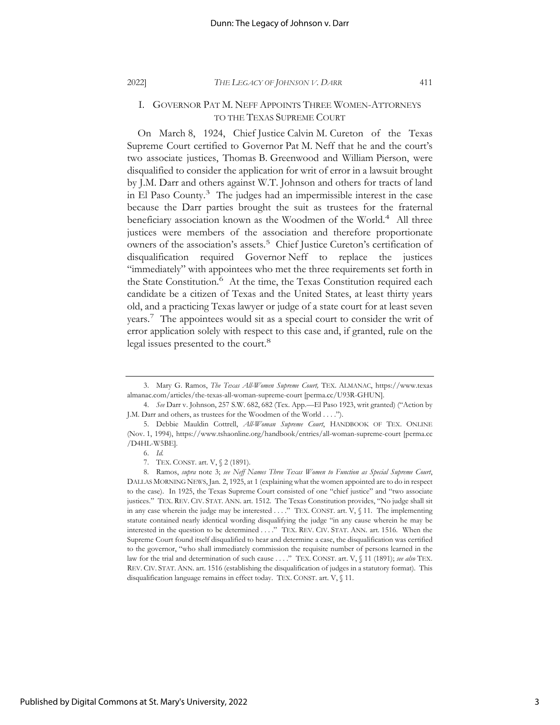#### I. GOVERNOR PAT M. NEFF APPOINTS THREE WOMEN-ATTORNEYS TO THE TEXAS SUPREME COURT

On March 8, 1924, Chief Justice Calvin M. Cureton of the Texas Supreme Court certified to Governor Pat M. Neff that he and the court's two associate justices, Thomas B. Greenwood and William Pierson, were disqualified to consider the application for writ of error in a lawsuit brought by J.M. Darr and others against W.T. Johnson and others for tracts of land in El Paso County.3 The judges had an impermissible interest in the case because the Darr parties brought the suit as trustees for the fraternal beneficiary association known as the Woodmen of the World.<sup>4</sup> All three justices were members of the association and therefore proportionate  $\overline{\text{}}$  owners of the association's assets.<sup>5</sup> Chief Justice Cureton's certification of disqualification required Governor Neff to replace the justices "immediately" with appointees who met the three requirements set forth in the State Constitution.<sup>6</sup> At the time, the Texas Constitution required each candidate be a citizen of Texas and the United States, at least thirty years old, and a practicing Texas lawyer or judge of a state court for at least seven years.7 The appointees would sit as a special court to consider the writ of error application solely with respect to this case and, if granted, rule on the legal issues presented to the court. $8$ 

<sup>3.</sup> Mary G. Ramos, *The Texas All-Women Supreme Court,* TEX. ALMANAC, https://www.texas almanac.com/articles/the-texas-all-woman-supreme-court [perma.cc/U93R-GHUN].

<sup>4.</sup> *See* Darr v. Johnson, 257 S.W. 682, 682 (Tex. App.—El Paso 1923, writ granted) ("Action by J.M. Darr and others, as trustees for the Woodmen of the World . . . .").

<sup>5.</sup> Debbie Mauldin Cottrell, *All-Woman Supreme Court*, HANDBOOK OF TEX. ONLINE (Nov. 1, 1994), https://www.tshaonline.org/handbook/entries/all-woman-supreme-court [perma.cc /D4HL-W5BE].

<sup>6.</sup> *Id.*

<sup>7.</sup> TEX. CONST. art. V, § 2 (1891).

<sup>8.</sup> Ramos, *supra* note 3; *see Neff Names Three Texas Women to Function as Special Supreme Court*, DALLAS MORNING NEWS, Jan. 2, 1925, at 1 (explaining what the women appointed are to do in respect to the case). In 1925, the Texas Supreme Court consisted of one "chief justice" and "two associate justices." TEX. REV. CIV. STAT. ANN. art. 1512. The Texas Constitution provides, "No judge shall sit in any case wherein the judge may be interested . . . ." TEX. CONST. art.  $V$ ,  $\int$  11. The implementing statute contained nearly identical wording disqualifying the judge "in any cause wherein he may be interested in the question to be determined . . . ." TEX. REV. CIV. STAT. ANN. art. 1516. When the Supreme Court found itself disqualified to hear and determine a case, the disqualification was certified to the governor, "who shall immediately commission the requisite number of persons learned in the law for the trial and determination of such cause . . . ." TEX. CONST. art. V, § 11 (1891); *see also* TEX. REV. CIV. STAT. ANN. art. 1516 (establishing the disqualification of judges in a statutory format). This disqualification language remains in effect today. TEX. CONST. art. V, § 11.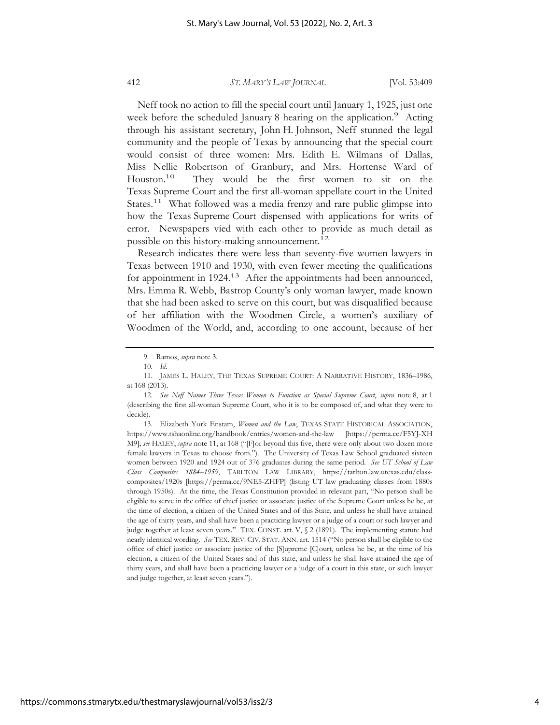Neff took no action to fill the special court until January 1, 1925, just one week before the scheduled January 8 hearing on the application.<sup>9</sup> Acting through his assistant secretary, John H. Johnson, Neff stunned the legal community and the people of Texas by announcing that the special court would consist of three women: Mrs. Edith E. Wilmans of Dallas, Miss Nellie Robertson of Granbury, and Mrs. Hortense Ward of Houston.<sup>10</sup> They would be the first women to sit on the Texas Supreme Court and the first all-woman appellate court in the United States.<sup>11</sup> What followed was a media frenzy and rare public glimpse into how the Texas Supreme Court dispensed with applications for writs of error. Newspapers vied with each other to provide as much detail as possible on this history-making announcement.12

Research indicates there were less than seventy-five women lawyers in Texas between 1910 and 1930, with even fewer meeting the qualifications for appointment in 1924.<sup>13</sup> After the appointments had been announced, Mrs. Emma R. Webb, Bastrop County's only woman lawyer, made known that she had been asked to serve on this court, but was disqualified because of her affiliation with the Woodmen Circle, a women's auxiliary of Woodmen of the World, and, according to one account, because of her

13. Elizabeth York Enstam, *Women and the Law*, TEXAS STATE HISTORICAL ASSOCIATION, https://www.tshaonline.org/handbook/entries/women-and-the-law [https://perma.cc/F5YJ-XH M9]; *see* HALEY, *supra* note 11, at 168 ("[F]or beyond this five, there were only about two dozen more female lawyers in Texas to choose from."). The University of Texas Law School graduated sixteen women between 1920 and 1924 out of 376 graduates during the same period. *See UT School of Law Class Composites 1884–1959*, TARLTON LAW LIBRARY, https://tarlton.law.utexas.edu/classcomposites/1920s [https://perma.cc/9NE5-ZHFP] (listing UT law graduating classes from 1880s through 1950s). At the time, the Texas Constitution provided in relevant part, "No person shall be eligible to serve in the office of chief justice or associate justice of the Supreme Court unless he be, at the time of election, a citizen of the United States and of this State, and unless he shall have attained the age of thirty years, and shall have been a practicing lawyer or a judge of a court or such lawyer and judge together at least seven years." TEX. CONST. art. V, § 2 (1891). The implementing statute had nearly identical wording. *See* TEX. REV. CIV. STAT. ANN. art. 1514 ("No person shall be eligible to the office of chief justice or associate justice of the [S]upreme [C]ourt, unless he be, at the time of his election, a citizen of the United States and of this state, and unless he shall have attained the age of thirty years, and shall have been a practicing lawyer or a judge of a court in this state, or such lawyer and judge together, at least seven years.").

<sup>9.</sup> Ramos, *supra* note 3.

<sup>10.</sup> *Id.* 

<sup>11.</sup> JAMES L. HALEY, THE TEXAS SUPREME COURT: A NARRATIVE HISTORY, 1836–1986, at 168 (2013).

<sup>12.</sup> *See Neff Names Three Texas Women to Function as Special Supreme Court*, *supra* note 8, at 1 (describing the first all-woman Supreme Court, who it is to be composed of, and what they were to decide).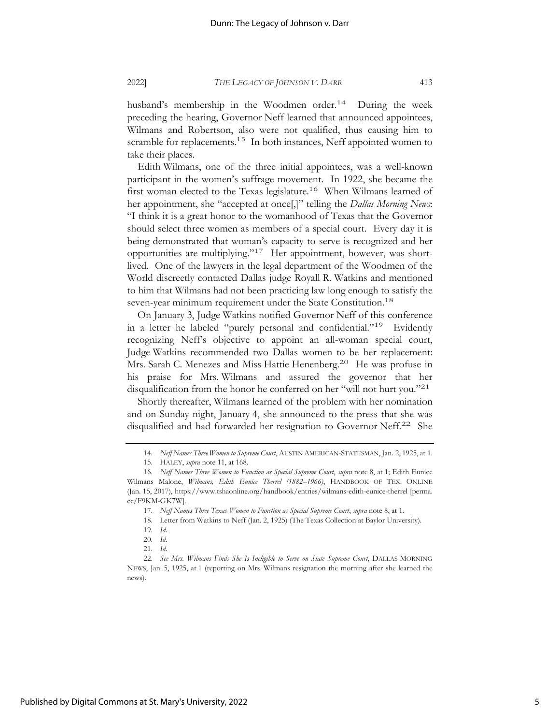husband's membership in the Woodmen order.<sup>14</sup> During the week preceding the hearing, Governor Neff learned that announced appointees, Wilmans and Robertson, also were not qualified, thus causing him to scramble for replacements.<sup>15</sup> In both instances, Neff appointed women to take their places.

Edith Wilmans, one of the three initial appointees, was a well-known participant in the women's suffrage movement. In 1922, she became the first woman elected to the Texas legislature.<sup>16</sup> When Wilmans learned of her appointment, she "accepted at once[,]" telling the *Dallas Morning News*: "I think it is a great honor to the womanhood of Texas that the Governor should select three women as members of a special court. Every day it is being demonstrated that woman's capacity to serve is recognized and her opportunities are multiplying."17 Her appointment, however, was shortlived. One of the lawyers in the legal department of the Woodmen of the World discreetly contacted Dallas judge Royall R. Watkins and mentioned to him that Wilmans had not been practicing law long enough to satisfy the seven-year minimum requirement under the State Constitution.<sup>18</sup>

On January 3, Judge Watkins notified Governor Neff of this conference in a letter he labeled "purely personal and confidential."<sup>19</sup> Evidently recognizing Neff's objective to appoint an all-woman special court, Judge Watkins recommended two Dallas women to be her replacement: Mrs. Sarah C. Menezes and Miss Hattie Henenberg.<sup>20</sup> He was profuse in his praise for Mrs. Wilmans and assured the governor that her disqualification from the honor he conferred on her "will not hurt you."<sup>21</sup>

Shortly thereafter, Wilmans learned of the problem with her nomination and on Sunday night, January 4, she announced to the press that she was disqualified and had forwarded her resignation to Governor Neff.<sup>22</sup> She

<sup>14.</sup> *Neff Names Three Women to Supreme Court*, AUSTIN AMERICAN-STATESMAN, Jan. 2, 1925, at 1.

<sup>15.</sup> HALEY, *supra* note 11, at 168.

<sup>16.</sup> *Neff Names Three Women to Function as Special Supreme Court*, *supra* note 8, at 1; Edith Eunice Wilmans Malone, *Wilmans, Edith Eunice Therrel (1882–1966)*, HANDBOOK OF TEX. ONLINE (Jan. 15, 2017), https://www.tshaonline.org/handbook/entries/wilmans-edith-eunice-therrel [perma. cc/F9KM-GK7W].

<sup>17.</sup> *Neff Names Three Texas Women to Function as Special Supreme Court*, *supra* note 8, at 1.

<sup>18.</sup> Letter from Watkins to Neff (Jan. 2, 1925) (The Texas Collection at Baylor University).

<sup>19.</sup> *Id.* 

<sup>20.</sup> *Id.* 

<sup>21.</sup> *Id.*

<sup>22.</sup> *See Mrs. Wilmans Finds She Is Ineligible to Serve on State Supreme Court*, DALLAS MORNING NEWS, Jan. 5, 1925, at 1 (reporting on Mrs. Wilmans resignation the morning after she learned the news).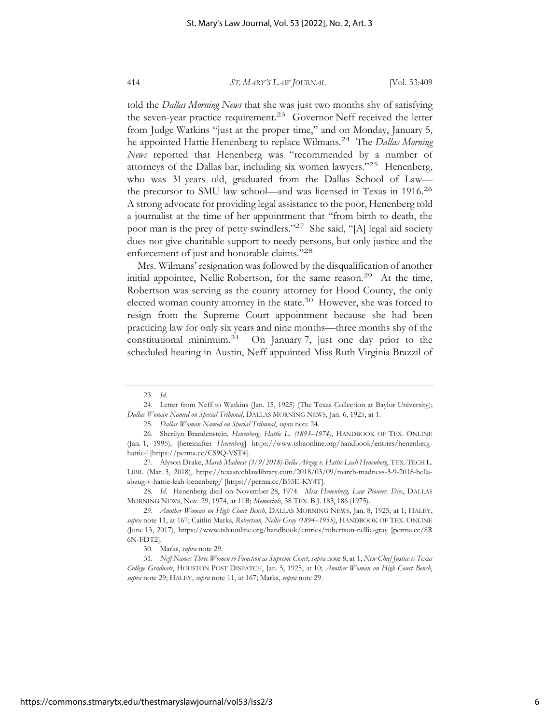told the *Dallas Morning News* that she was just two months shy of satisfying the seven-year practice requirement.<sup>23</sup> Governor Neff received the letter from Judge Watkins "just at the proper time," and on Monday, January 5, he appointed Hattie Henenberg to replace Wilmans.24 The *Dallas Morning News* reported that Henenberg was "recommended by a number of attorneys of the Dallas bar, including six women lawyers."25 Henenberg, who was 31 years old, graduated from the Dallas School of Law the precursor to SMU law school—and was licensed in Texas in 1916.26 A strong advocate for providing legal assistance to the poor, Henenberg told a journalist at the time of her appointment that "from birth to death, the poor man is the prey of petty swindlers."27 She said, "[A] legal aid society does not give charitable support to needy persons, but only justice and the enforcement of just and honorable claims."28

Mrs. Wilmans' resignation was followed by the disqualification of another initial appointee, Nellie Robertson, for the same reason.<sup>29</sup> At the time, Robertson was serving as the county attorney for Hood County, the only elected woman county attorney in the state.<sup>30</sup> However, she was forced to resign from the Supreme Court appointment because she had been practicing law for only six years and nine months—three months shy of the constitutional minimum.31 On January 7, just one day prior to the scheduled hearing in Austin, Neff appointed Miss Ruth Virginia Brazzil of

<sup>23.</sup> *Id.* 

<sup>24.</sup> Letter from Neff to Watkins (Jan. 15, 1925) (The Texas Collection at Baylor University); *Dallas Woman Named on Special Tribunal*, DALLAS MORNING NEWS, Jan. 6, 1925, at 1.

<sup>25.</sup> *Dallas Woman Named on Special Tribunal*, *supra* note 24.

<sup>26.</sup> Sherilyn Brandenstein, *Henenberg, Hattie L. (1893–1974)*, HANDBOOK OF TEX. ONLINE (Jan. 1, 1995), [hereinafter *Henenberg*] https://www.tshaonline.org/handbook/entries/henenberghattie-l [https://perma.cc/CS9Q-VST4].

<sup>27.</sup> Alyson Drake, *March Madness (3/9/2018)-Bella Abzug v. Hattie Leah Henenberg*, TEX. TECH L. LIBR. (Mar. 3, 2018), https://texastechlawlibrary.com/2018/03/09/march-madness-3-9-2018-bellaabzug-v-hattie-leah-henenberg/ [https://perma.cc/B55E-KY4T].

<sup>28.</sup> *Id.* Henenberg died on November 28, 1974. *Miss Henenberg, Law Pioneer, Dies*, DALLAS MORNING NEWS, Nov. 29, 1974, at 11B; *Memorials*, 38 TEX. B.J. 183, 186 (1975).

<sup>29.</sup> *Another Woman on High Court Bench*, DALLAS MORNING NEWS, Jan. 8, 1925, at 1; HALEY, *supra* note 11, at 167; Caitlin Marks, *Robertson, Nellie Gray (1894–1955)*, HANDBOOK OF TEX. ONLINE (June 13, 2017), https://www.tshaonline.org/handbook/entries/robertson-nellie-gray [perma.cc/8R 6N-FDT2].

<sup>30.</sup> Marks, *supra* note 29.

<sup>31.</sup> *Neff Names Three Women to Function as Supreme Court*, *supra* note 8, at 1; *New Chief Justice is Texas College Graduate*, HOUSTON POST DISPATCH, Jan. 5, 1925, at 10; *Another Woman on High Court Bench*, *supra* note 29; HALEY, *supra* note 11, at 167; Marks, *supra* note 29.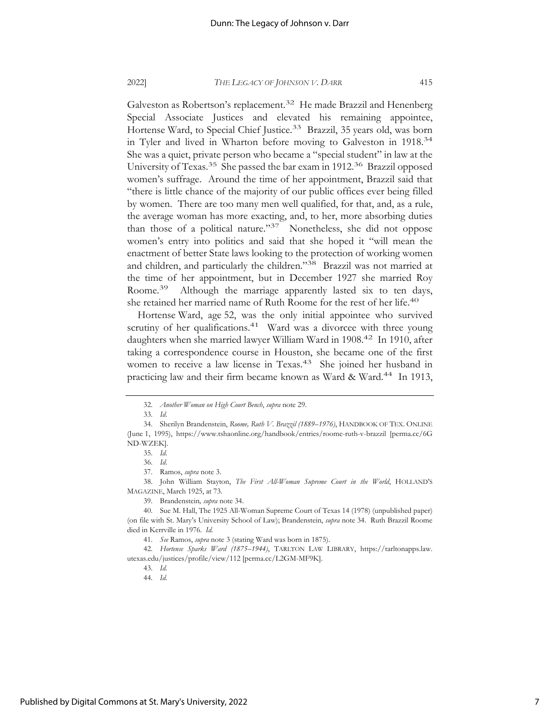Galveston as Robertson's replacement.<sup>32</sup> He made Brazzil and Henenberg Special Associate Justices and elevated his remaining appointee, Hortense Ward, to Special Chief Justice.<sup>33</sup> Brazzil, 35 years old, was born in Tyler and lived in Wharton before moving to Galveston in 1918.<sup>34</sup> She was a quiet, private person who became a "special student" in law at the University of Texas.<sup>35</sup> She passed the bar exam in 1912.<sup>36</sup> Brazzil opposed women's suffrage. Around the time of her appointment, Brazzil said that "there is little chance of the majority of our public offices ever being filled by women. There are too many men well qualified, for that, and, as a rule, the average woman has more exacting, and, to her, more absorbing duties than those of a political nature."37 Nonetheless, she did not oppose women's entry into politics and said that she hoped it "will mean the enactment of better State laws looking to the protection of working women and children, and particularly the children."38 Brazzil was not married at the time of her appointment, but in December 1927 she married Roy Roome.<sup>39</sup> Although the marriage apparently lasted six to ten days, she retained her married name of Ruth Roome for the rest of her life.40

Hortense Ward, age 52, was the only initial appointee who survived scrutiny of her qualifications.<sup>41</sup> Ward was a divorcee with three young daughters when she married lawyer William Ward in 1908.<sup>42</sup> In 1910, after taking a correspondence course in Houston, she became one of the first women to receive a law license in Texas.43 She joined her husband in practicing law and their firm became known as Ward & Ward.<sup>44</sup> In 1913,

38. John William Stayton, *The First All-Woman Supreme Court in the World*, HOLLAND'S MAGAZINE, March 1925, at 73.

<sup>32.</sup> *Another Woman on High Court Bench*, *supra* note 29.

<sup>33.</sup> *Id.*

<sup>34.</sup> Sherilyn Brandenstein, *Roome, Ruth V. Brazzil (1889–1976)*, HANDBOOK OF TEX. ONLINE (June 1, 1995), https://www.tshaonline.org/handbook/entries/roome-ruth-v-brazzil [perma.cc/6G ND-WZEK].

<sup>35.</sup> *Id.*

<sup>36.</sup> *Id.* 

<sup>37.</sup> Ramos, *supra* note 3.

<sup>39.</sup> Brandenstein*, supra* note 34.

<sup>40.</sup> Sue M. Hall, The 1925 All-Woman Supreme Court of Texas 14 (1978) (unpublished paper) (on file with St. Mary's University School of Law); Brandenstein, *supra* note 34. Ruth Brazzil Roome died in Kerrville in 1976. *Id.*

<sup>41.</sup> *See* Ramos, *supra* note 3 (stating Ward was born in 1875).

<sup>42.</sup> *Hortense Sparks Ward (1875–1944)*, TARLTON LAW LIBRARY, https://tarltonapps.law. utexas.edu/justices/profile/view/112 [perma.cc/L2GM-MF9K].

<sup>43.</sup> *Id.* 

<sup>44.</sup> *Id.*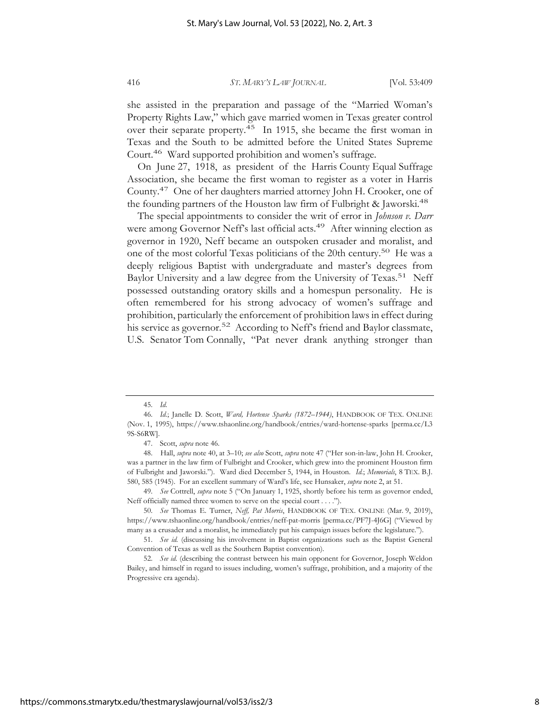she assisted in the preparation and passage of the "Married Woman's Property Rights Law," which gave married women in Texas greater control over their separate property.<sup>45</sup> In 1915, she became the first woman in Texas and the South to be admitted before the United States Supreme Court.46 Ward supported prohibition and women's suffrage.

On June 27, 1918, as president of the Harris County Equal Suffrage Association, she became the first woman to register as a voter in Harris County.47 One of her daughters married attorney John H. Crooker, one of the founding partners of the Houston law firm of Fulbright & Jaworski.<sup>48</sup>

The special appointments to consider the writ of error in *Johnson v. Darr* were among Governor Neff's last official acts.<sup>49</sup> After winning election as governor in 1920, Neff became an outspoken crusader and moralist, and one of the most colorful Texas politicians of the 20th century.50 He was a deeply religious Baptist with undergraduate and master's degrees from Baylor University and a law degree from the University of Texas.<sup>51</sup> Neff possessed outstanding oratory skills and a homespun personality. He is often remembered for his strong advocacy of women's suffrage and prohibition, particularly the enforcement of prohibition laws in effect during his service as governor.<sup>52</sup> According to Neff's friend and Baylor classmate, U.S. Senator Tom Connally, "Pat never drank anything stronger than

<sup>45.</sup> *Id.* 

<sup>46.</sup> *Id.*; Janelle D. Scott, *Ward, Hortense Sparks (1872–1944)*, HANDBOOK OF TEX. ONLINE (Nov. 1, 1995), https://www.tshaonline.org/handbook/entries/ward-hortense-sparks [perma.cc/L3 9S-S6RW].

<sup>47.</sup> Scott, *supra* note 46.

<sup>48.</sup> Hall, *supra* note 40, at 3–10; *see also* Scott, *supra* note 47 ("Her son-in-law, John H. Crooker, was a partner in the law firm of Fulbright and Crooker, which grew into the prominent Houston firm of Fulbright and Jaworski."). Ward died December 5, 1944, in Houston. *Id.*; *Memorials*, 8 TEX. B.J. 580, 585 (1945). For an excellent summary of Ward's life, see Hunsaker, *supra* note 2, at 51.

<sup>49.</sup> *See* Cottrell, *supra* note 5 ("On January 1, 1925, shortly before his term as governor ended, Neff officially named three women to serve on the special court . . . .").

<sup>50.</sup> *See* Thomas E. Turner, *Neff, Pat Morris*, HANDBOOK OF TEX. ONLINE (Mar. 9, 2019), https://www.tshaonline.org/handbook/entries/neff-pat-morris [perma.cc/PF7J-4J6G] ("Viewed by many as a crusader and a moralist, he immediately put his campaign issues before the legislature.").

<sup>51.</sup> *See id.* (discussing his involvement in Baptist organizations such as the Baptist General Convention of Texas as well as the Southern Baptist convention).

<sup>52.</sup> See id. (describing the contrast between his main opponent for Governor, Joseph Weldon Bailey, and himself in regard to issues including, women's suffrage, prohibition, and a majority of the Progressive era agenda).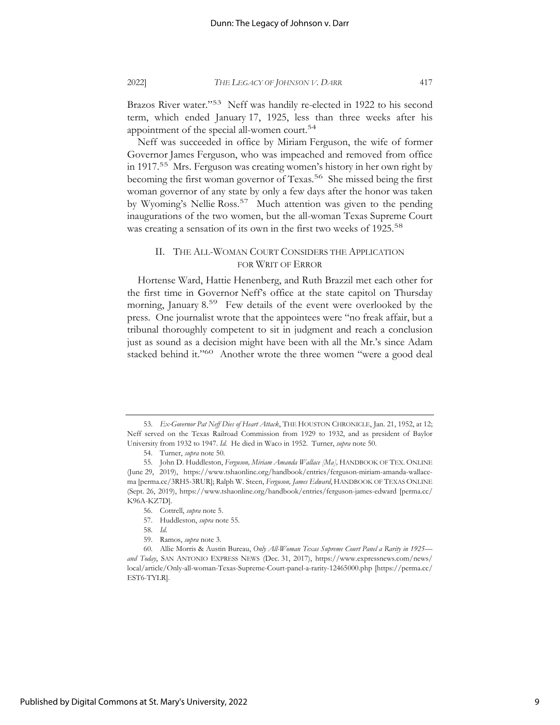Brazos River water."<sup>53</sup> Neff was handily re-elected in 1922 to his second term, which ended January 17, 1925, less than three weeks after his appointment of the special all-women court.<sup>54</sup>

Neff was succeeded in office by Miriam Ferguson, the wife of former Governor James Ferguson, who was impeached and removed from office in 1917.55 Mrs. Ferguson was creating women's history in her own right by becoming the first woman governor of Texas.<sup>56</sup> She missed being the first woman governor of any state by only a few days after the honor was taken by Wyoming's Nellie Ross.<sup>57</sup> Much attention was given to the pending inaugurations of the two women, but the all-woman Texas Supreme Court was creating a sensation of its own in the first two weeks of 1925.<sup>58</sup>

#### II. THE ALL-WOMAN COURT CONSIDERS THE APPLICATION FOR WRIT OF ERROR

Hortense Ward, Hattie Henenberg, and Ruth Brazzil met each other for the first time in Governor Neff's office at the state capitol on Thursday morning, January 8.<sup>59</sup> Few details of the event were overlooked by the press. One journalist wrote that the appointees were "no freak affair, but a tribunal thoroughly competent to sit in judgment and reach a conclusion just as sound as a decision might have been with all the Mr.'s since Adam stacked behind it."<sup>60</sup> Another wrote the three women "were a good deal

57. Huddleston, *supra* note 55.

<sup>53.</sup> *Ex-Governor Pat Neff Dies of Heart Attack*, THE HOUSTON CHRONICLE, Jan. 21, 1952, at 12; Neff served on the Texas Railroad Commission from 1929 to 1932, and as president of Baylor University from 1932 to 1947. *Id.* He died in Waco in 1952. Turner, *supra* note 50.

<sup>54.</sup> Turner, *supra* note 50*.*

<sup>55.</sup> John D. Huddleston, *Ferguson, Miriam Amanda Wallace [Ma],* HANDBOOK OF TEX. ONLINE (June 29, 2019), https://www.tshaonline.org/handbook/entries/ferguson-miriam-amanda-wallacema [perma.cc/3RH5-3RUR]; Ralph W. Steen, *Ferguson, James Edward*, HANDBOOK OF TEXAS ONLINE (Sept. 26, 2019), https://www.tshaonline.org/handbook/entries/ferguson-james-edward [perma.cc/ K96A-KZ7D].

<sup>56.</sup> Cottrell, *supra* note 5.

<sup>58.</sup> *Id.*

<sup>59.</sup> Ramos, *supra* note 3.

<sup>60.</sup> Allie Morris & Austin Bureau, *Only All-Woman Texas Supreme Court Panel a Rarity in 1925 and Today*, SAN ANTONIO EXPRESS NEWS (Dec. 31, 2017), https://www.expressnews.com/news/ local/article/Only-all-woman-Texas-Supreme-Court-panel-a-rarity-12465000.php [https://perma.cc/ EST6-TYLR].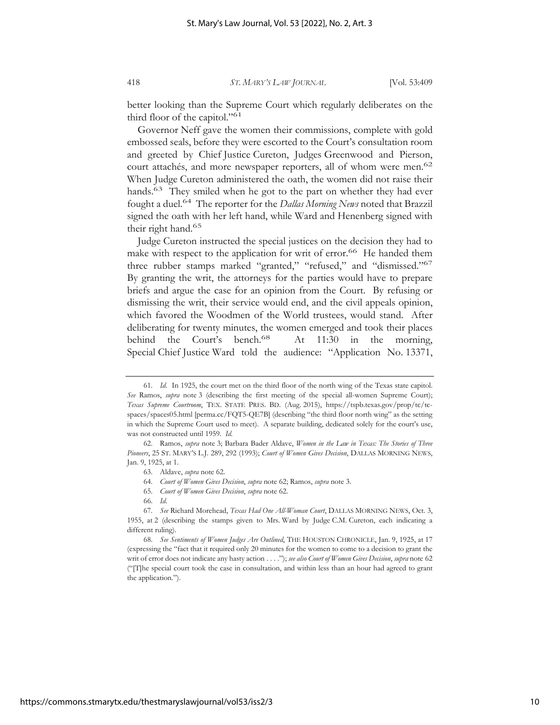better looking than the Supreme Court which regularly deliberates on the third floor of the capitol."<sup>61</sup>

Governor Neff gave the women their commissions, complete with gold embossed seals, before they were escorted to the Court's consultation room and greeted by Chief Justice Cureton, Judges Greenwood and Pierson, court attachés, and more newspaper reporters, all of whom were men.<sup>62</sup> When Judge Cureton administered the oath, the women did not raise their hands.<sup>63</sup> They smiled when he got to the part on whether they had ever fought a duel.64 The reporter for the *Dallas Morning News* noted that Brazzil signed the oath with her left hand, while Ward and Henenberg signed with their right hand.65

Judge Cureton instructed the special justices on the decision they had to make with respect to the application for writ of error.<sup>66</sup> He handed them three rubber stamps marked "granted," "refused," and "dismissed."67 By granting the writ, the attorneys for the parties would have to prepare briefs and argue the case for an opinion from the Court. By refusing or dismissing the writ, their service would end, and the civil appeals opinion, which favored the Woodmen of the World trustees, would stand. After deliberating for twenty minutes, the women emerged and took their places behind the Court's bench.<sup>68</sup> At 11:30 in the morning, Special Chief Justice Ward told the audience: "Application No. 13371,

<sup>61.</sup> *Id.* In 1925, the court met on the third floor of the north wing of the Texas state capitol. *See* Ramos, *supra* note 3 (describing the first meeting of the special all-women Supreme Court); *Texas Supreme Courtroom*, TEX. STATE PRES. BD. (Aug. 2015), https://tspb.texas.gov/prop/tc/tcspaces/spaces05.html [perma.cc/FQT5-QE7B] (describing "the third floor north wing" as the setting in which the Supreme Court used to meet). A separate building, dedicated solely for the court's use, was not constructed until 1959. *Id.* 

<sup>62.</sup> Ramos, *supra* note 3; Barbara Bader Aldave, *Women in the Law in Texas: The Stories of Three Pioneers*, 25 ST. MARY'S L.J. 289, 292 (1993); *Court of Women Gives Decision*, DALLAS MORNING NEWS, Jan. 9, 1925, at 1.

<sup>63.</sup> Aldave, *supra* note 62.

<sup>64.</sup> *Court of Women Gives Decision*, *supra* note 62; Ramos, *supra* note 3*.* 

<sup>65.</sup> *Court of Women Gives Decision*, *supra* note 62.

<sup>66.</sup> *Id.*

<sup>67.</sup> *See* Richard Morehead, *Texas Had One All-Woman Court*, DALLAS MORNING NEWS, Oct. 3, 1955, at 2 (describing the stamps given to Mrs. Ward by Judge C.M. Cureton, each indicating a different ruling).

<sup>68.</sup> *See Sentiments of Women Judges Are Outlined*, THE HOUSTON CHRONICLE, Jan. 9, 1925, at 17 (expressing the "fact that it required only 20 minutes for the women to come to a decision to grant the writ of error does not indicate any hasty action . . . ."); *see also Court of Women Gives Decision*, *supra* note 62 ("[T]he special court took the case in consultation, and within less than an hour had agreed to grant the application.").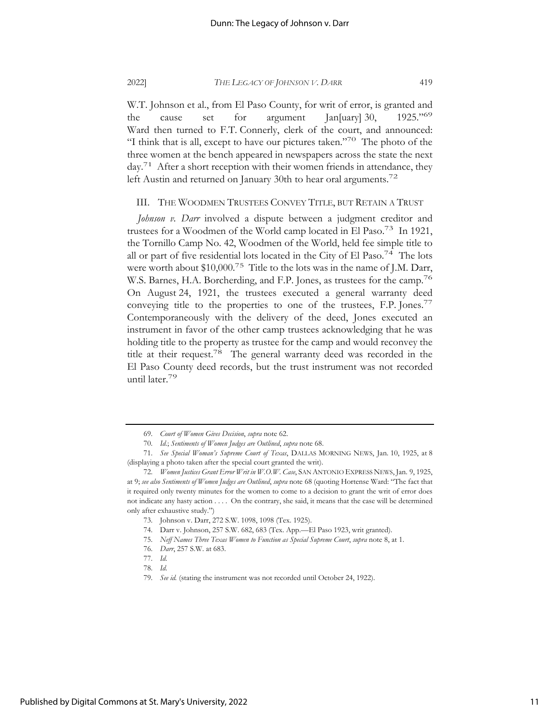W.T. Johnson et al., from El Paso County, for writ of error, is granted and the cause set for argument Jan[uary] 30, 1925."69 Ward then turned to F.T. Connerly, clerk of the court, and announced: "I think that is all, except to have our pictures taken."70 The photo of the three women at the bench appeared in newspapers across the state the next day.<sup>71</sup> After a short reception with their women friends in attendance, they left Austin and returned on January 30th to hear oral arguments.<sup>72</sup>

#### III. THE WOODMEN TRUSTEES CONVEY TITLE, BUT RETAIN A TRUST

*Johnson v. Darr* involved a dispute between a judgment creditor and trustees for a Woodmen of the World camp located in El Paso.73 In 1921, the Tornillo Camp No. 42, Woodmen of the World, held fee simple title to all or part of five residential lots located in the City of El Paso.<sup>74</sup> The lots were worth about \$10,000.<sup>75</sup> Title to the lots was in the name of J.M. Darr, W.S. Barnes, H.A. Borcherding, and F.P. Jones, as trustees for the camp.<sup>76</sup> On August 24, 1921, the trustees executed a general warranty deed conveying title to the properties to one of the trustees, F.P. Jones.<sup>77</sup> Contemporaneously with the delivery of the deed, Jones executed an instrument in favor of the other camp trustees acknowledging that he was holding title to the property as trustee for the camp and would reconvey the title at their request.78 The general warranty deed was recorded in the El Paso County deed records, but the trust instrument was not recorded until later.79

<sup>69.</sup> *Court of Women Gives Decision*, *supra* note 62.

<sup>70.</sup> *Id.*; *Sentiments of Women Judges are Outlined*, *supra* note 68.

<sup>71.</sup> *See Special Woman's Supreme Court of Texas*, DALLAS MORNING NEWS, Jan. 10, 1925, at 8 (displaying a photo taken after the special court granted the writ).

<sup>72.</sup> *Women Justices Grant Error Writ in W.O.W. Case*, SAN ANTONIO EXPRESS NEWS, Jan. 9, 1925, at 9; *see also Sentiments of Women Judges are Outlined*, *supra* note 68 (quoting Hortense Ward: "The fact that it required only twenty minutes for the women to come to a decision to grant the writ of error does not indicate any hasty action . . . . On the contrary, she said, it means that the case will be determined only after exhaustive study.")

<sup>73.</sup> Johnson v. Darr, 272 S.W. 1098, 1098 (Tex. 1925).

<sup>74.</sup> Darr v. Johnson, 257 S.W. 682, 683 (Tex. App.—El Paso 1923, writ granted).

<sup>75.</sup> *Neff Names Three Texas Women to Function as Special Supreme Court*, *supra* note 8, at 1.

<sup>76.</sup> *Darr*, 257 S.W. at 683.

<sup>77.</sup> *Id.*

<sup>78.</sup> *Id.*

<sup>79.</sup> *See id.* (stating the instrument was not recorded until October 24, 1922).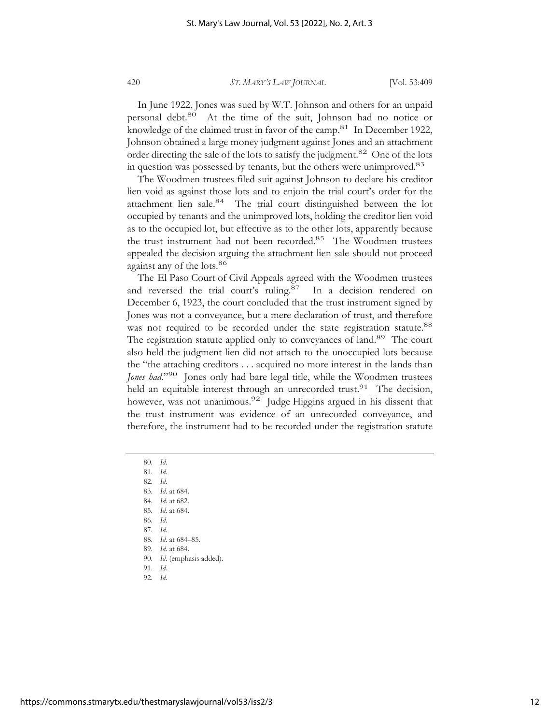In June 1922, Jones was sued by W.T. Johnson and others for an unpaid personal debt.80 At the time of the suit, Johnson had no notice or knowledge of the claimed trust in favor of the camp.<sup>81</sup> In December 1922, Johnson obtained a large money judgment against Jones and an attachment order directing the sale of the lots to satisfy the judgment.<sup>82</sup> One of the lots in question was possessed by tenants, but the others were unimproved.<sup>83</sup>

The Woodmen trustees filed suit against Johnson to declare his creditor lien void as against those lots and to enjoin the trial court's order for the attachment lien sale.<sup>84</sup> The trial court distinguished between the lot occupied by tenants and the unimproved lots, holding the creditor lien void as to the occupied lot, but effective as to the other lots, apparently because the trust instrument had not been recorded.<sup>85</sup> The Woodmen trustees appealed the decision arguing the attachment lien sale should not proceed against any of the lots.<sup>86</sup>

The El Paso Court of Civil Appeals agreed with the Woodmen trustees and reversed the trial court's ruling.<sup>87</sup> In a decision rendered on December 6, 1923, the court concluded that the trust instrument signed by Jones was not a conveyance, but a mere declaration of trust, and therefore was not required to be recorded under the state registration statute.<sup>88</sup> The registration statute applied only to conveyances of land.<sup>89</sup> The court also held the judgment lien did not attach to the unoccupied lots because the "the attaching creditors . . . acquired no more interest in the lands than *Jones had*."90 Jones only had bare legal title, while the Woodmen trustees held an equitable interest through an unrecorded trust.<sup>91</sup> The decision, however, was not unanimous.<sup>92</sup> Judge Higgins argued in his dissent that the trust instrument was evidence of an unrecorded conveyance, and therefore, the instrument had to be recorded under the registration statute

80. *Id.*

81. *Id.* 

82. *Id.* 

83. *Id*. at 684.

84. *Id.* at 682.

85. *Id.* at 684.

86. *Id.* 

87. *Id.* 

88. *Id.* at 684–85.

89. *Id.* at 684.

90. *Id.* (emphasis added). 91. *Id.* 

92. *Id.*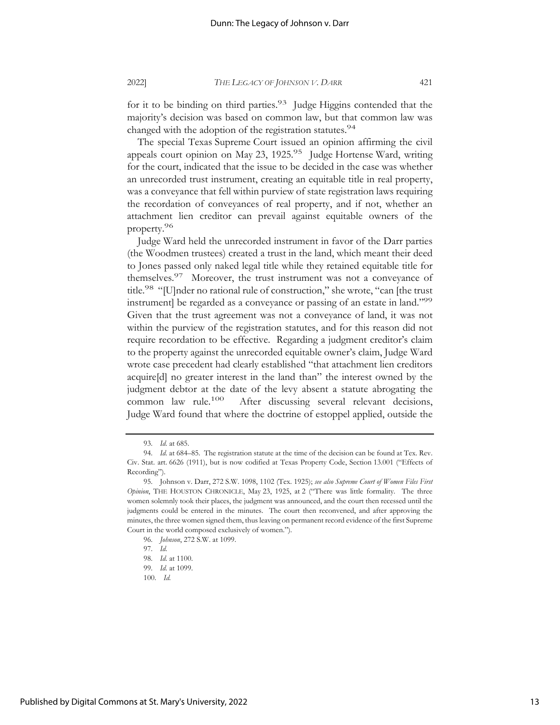for it to be binding on third parties.<sup>93</sup> Judge Higgins contended that the majority's decision was based on common law, but that common law was changed with the adoption of the registration statutes.<sup>94</sup>

The special Texas Supreme Court issued an opinion affirming the civil appeals court opinion on May 23, 1925.95 Judge Hortense Ward, writing for the court, indicated that the issue to be decided in the case was whether an unrecorded trust instrument, creating an equitable title in real property, was a conveyance that fell within purview of state registration laws requiring the recordation of conveyances of real property, and if not, whether an attachment lien creditor can prevail against equitable owners of the property.96

Judge Ward held the unrecorded instrument in favor of the Darr parties (the Woodmen trustees) created a trust in the land, which meant their deed to Jones passed only naked legal title while they retained equitable title for themselves.97 Moreover, the trust instrument was not a conveyance of title.<sup>98</sup> "[U]nder no rational rule of construction," she wrote, "can [the trust instrument] be regarded as a conveyance or passing of an estate in land."<sup>99</sup> Given that the trust agreement was not a conveyance of land, it was not within the purview of the registration statutes, and for this reason did not require recordation to be effective. Regarding a judgment creditor's claim to the property against the unrecorded equitable owner's claim, Judge Ward wrote case precedent had clearly established "that attachment lien creditors acquire[d] no greater interest in the land than" the interest owned by the judgment debtor at the date of the levy absent a statute abrogating the common law rule.100 After discussing several relevant decisions, Judge Ward found that where the doctrine of estoppel applied, outside the

<sup>93.</sup> *Id.* at 685.

<sup>94.</sup> *Id.* at 684–85. The registration statute at the time of the decision can be found at Tex. Rev. Civ. Stat. art. 6626 (1911), but is now codified at Texas Property Code, Section 13.001 ("Effects of Recording").

<sup>95.</sup> Johnson v. Darr, 272 S.W. 1098, 1102 (Tex. 1925); *see also Supreme Court of Women Files First Opinion*, THE HOUSTON CHRONICLE, May 23, 1925, at 2 ("There was little formality. The three women solemnly took their places, the judgment was announced, and the court then recessed until the judgments could be entered in the minutes. The court then reconvened, and after approving the minutes, the three women signed them, thus leaving on permanent record evidence of the first Supreme Court in the world composed exclusively of women.").

<sup>96.</sup> *Johnson*, 272 S.W. at 1099.

<sup>97.</sup> *Id.*

<sup>98.</sup> *Id.* at 1100.

<sup>99.</sup> *Id.* at 1099.

<sup>100.</sup> *Id.*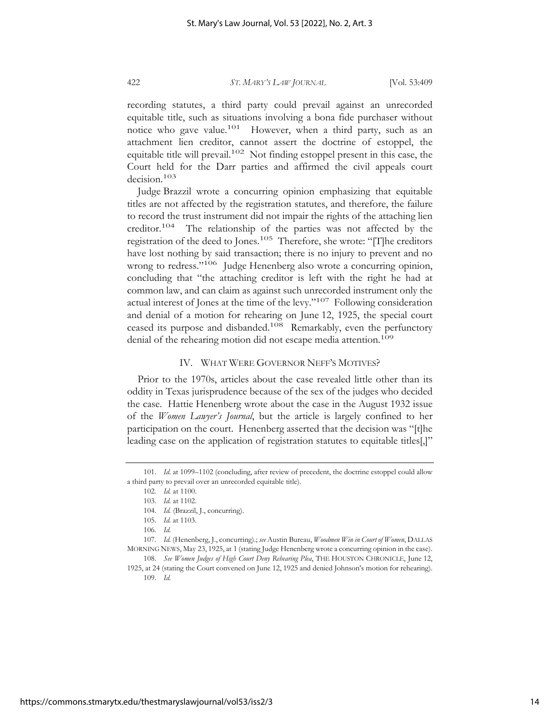recording statutes, a third party could prevail against an unrecorded equitable title, such as situations involving a bona fide purchaser without notice who gave value.101 However, when a third party, such as an attachment lien creditor, cannot assert the doctrine of estoppel, the equitable title will prevail.102 Not finding estoppel present in this case, the Court held for the Darr parties and affirmed the civil appeals court decision.103

Judge Brazzil wrote a concurring opinion emphasizing that equitable titles are not affected by the registration statutes, and therefore, the failure to record the trust instrument did not impair the rights of the attaching lien creditor.104 The relationship of the parties was not affected by the registration of the deed to Jones.<sup>105</sup> Therefore, she wrote: "[T]he creditors have lost nothing by said transaction; there is no injury to prevent and no wrong to redress."<sup>106</sup> Judge Henenberg also wrote a concurring opinion, concluding that "the attaching creditor is left with the right he had at common law, and can claim as against such unrecorded instrument only the actual interest of Jones at the time of the levy."107 Following consideration and denial of a motion for rehearing on June 12, 1925, the special court ceased its purpose and disbanded.108 Remarkably, even the perfunctory denial of the rehearing motion did not escape media attention.<sup>109</sup>

#### IV. WHAT WERE GOVERNOR NEFF'S MOTIVES?

Prior to the 1970s, articles about the case revealed little other than its oddity in Texas jurisprudence because of the sex of the judges who decided the case. Hattie Henenberg wrote about the case in the August 1932 issue of the *Women Lawyer's Journal*, but the article is largely confined to her participation on the court. Henenberg asserted that the decision was "[t]he leading case on the application of registration statutes to equitable titles[,]"

<sup>101.</sup> *Id.* at 1099–1102 (concluding, after review of precedent, the doctrine estoppel could allow a third party to prevail over an unrecorded equitable title).

<sup>102.</sup> *Id.* at 1100.

<sup>103.</sup> *Id.* at 1102.

<sup>104.</sup> *Id.* (Brazzil, J., concurring).

<sup>105.</sup> *Id.* at 1103.

<sup>106.</sup> *Id.*

<sup>107.</sup> *Id.* (Henenberg, J., concurring).; *see* Austin Bureau, *Woodmen Win in Court of Women*, DALLAS MORNING NEWS, May 23, 1925, at 1 (stating Judge Henenberg wrote a concurring opinion in the case). 108. *See Women Judges of High Court Deny Rehearing Plea*, THE HOUSTON CHRONICLE, June 12,

<sup>1925,</sup> at 24 (stating the Court convened on June 12, 1925 and denied Johnson's motion for rehearing). 109. *Id.*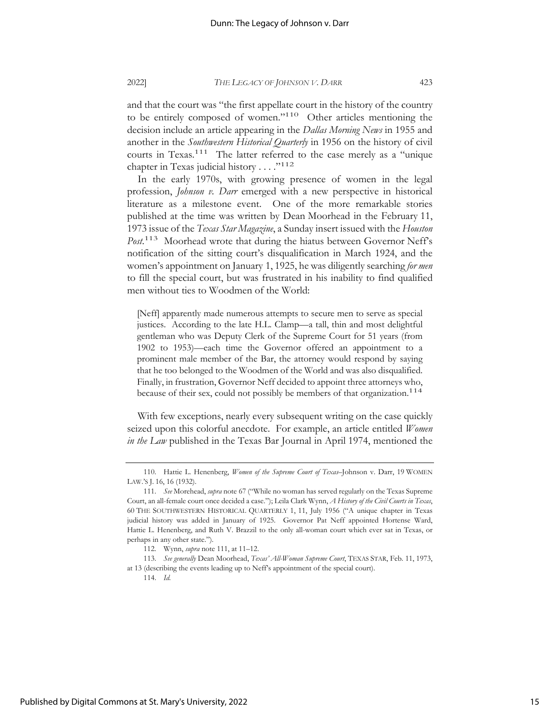and that the court was "the first appellate court in the history of the country to be entirely composed of women."110 Other articles mentioning the decision include an article appearing in the *Dallas Morning News* in 1955 and another in the *Southwestern Historical Quarterly* in 1956 on the history of civil courts in Texas.<sup>111</sup> The latter referred to the case merely as a "unique chapter in Texas judicial history  $\dots$ ."<sup>112</sup>

In the early 1970s, with growing presence of women in the legal profession, *Johnson v. Darr* emerged with a new perspective in historical literature as a milestone event. One of the more remarkable stories published at the time was written by Dean Moorhead in the February 11, 1973 issue of the *Texas Star Magazine*, a Sunday insert issued with the *Houston Post*. 113 Moorhead wrote that during the hiatus between Governor Neff's notification of the sitting court's disqualification in March 1924, and the women's appointment on January 1, 1925, he was diligently searching *for men* to fill the special court, but was frustrated in his inability to find qualified men without ties to Woodmen of the World:

[Neff] apparently made numerous attempts to secure men to serve as special justices. According to the late H.L. Clamp—a tall, thin and most delightful gentleman who was Deputy Clerk of the Supreme Court for 51 years (from 1902 to 1953)—each time the Governor offered an appointment to a prominent male member of the Bar, the attorney would respond by saying that he too belonged to the Woodmen of the World and was also disqualified. Finally, in frustration, Governor Neff decided to appoint three attorneys who, because of their sex, could not possibly be members of that organization.<sup>114</sup>

With few exceptions, nearly every subsequent writing on the case quickly seized upon this colorful anecdote. For example, an article entitled *Women in the Law* published in the Texas Bar Journal in April 1974, mentioned the

<sup>110.</sup> Hattie L. Henenberg, *Women of the Supreme Court of Texas–*Johnson v. Darr, 19 WOMEN LAW.'S J. 16, 16 (1932).

<sup>111.</sup> *See* Morehead, *supra* note 67 ("While no woman has served regularly on the Texas Supreme Court, an all-female court once decided a case."); Leila Clark Wynn, *A History of the Civil Courts in Texas*, 60 THE SOUTHWESTERN HISTORICAL QUARTERLY 1, 11, July 1956 ("A unique chapter in Texas judicial history was added in January of 1925. Governor Pat Neff appointed Hortense Ward, Hattie L. Henenberg, and Ruth V. Brazzil to the only all-woman court which ever sat in Texas, or perhaps in any other state.").

<sup>112.</sup> Wynn, *supra* note 111, at 11–12.

<sup>113.</sup> *See generally* Dean Moorhead, *Texas' All-Woman Supreme Court*, TEXAS STAR, Feb. 11, 1973, at 13 (describing the events leading up to Neff's appointment of the special court).

<sup>114.</sup> *Id.*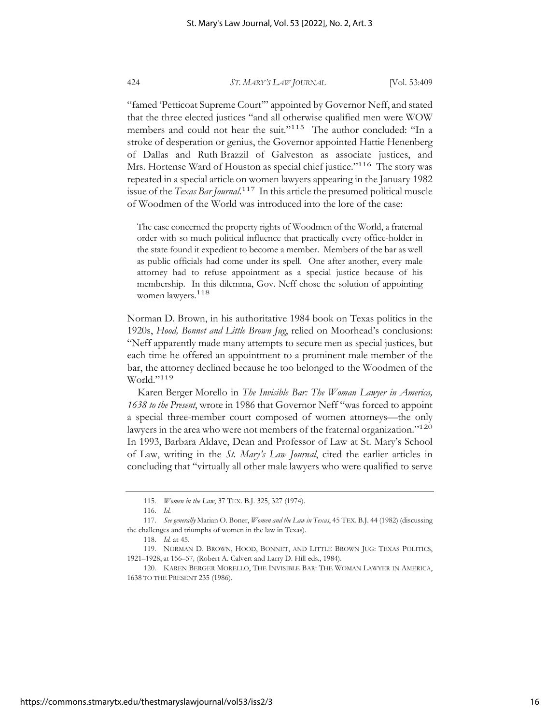"famed 'Petticoat Supreme Court'" appointed by Governor Neff, and stated that the three elected justices "and all otherwise qualified men were WOW members and could not hear the suit."<sup>115</sup> The author concluded: "In a stroke of desperation or genius, the Governor appointed Hattie Henenberg of Dallas and Ruth Brazzil of Galveston as associate justices, and Mrs. Hortense Ward of Houston as special chief justice."<sup>116</sup> The story was repeated in a special article on women lawyers appearing in the January 1982 issue of the *Texas Bar Journal*. 117 In this article the presumed political muscle of Woodmen of the World was introduced into the lore of the case:

The case concerned the property rights of Woodmen of the World, a fraternal order with so much political influence that practically every office-holder in the state found it expedient to become a member. Members of the bar as well as public officials had come under its spell. One after another, every male attorney had to refuse appointment as a special justice because of his membership. In this dilemma, Gov. Neff chose the solution of appointing women lawyers.<sup>118</sup>

Norman D. Brown, in his authoritative 1984 book on Texas politics in the 1920s, *Hood, Bonnet and Little Brown Jug*, relied on Moorhead's conclusions: "Neff apparently made many attempts to secure men as special justices, but each time he offered an appointment to a prominent male member of the bar, the attorney declined because he too belonged to the Woodmen of the World."119

Karen Berger Morello in *The Invisible Bar: The Woman Lawyer in America, 1638 to the Present*, wrote in 1986 that Governor Neff "was forced to appoint a special three-member court composed of women attorneys—the only lawyers in the area who were not members of the fraternal organization."<sup>120</sup> In 1993, Barbara Aldave, Dean and Professor of Law at St. Mary's School of Law, writing in the *St. Mary's Law Journal*, cited the earlier articles in concluding that "virtually all other male lawyers who were qualified to serve

<sup>115.</sup> *Women in the Law*, 37 TEX. B.J. 325, 327 (1974).

<sup>116.</sup> *Id.*

<sup>117.</sup> *See generally* Marian O. Boner, *Women and the Law in Texas*, 45 TEX. B.J. 44 (1982) (discussing the challenges and triumphs of women in the law in Texas).

<sup>118.</sup> *Id.* at 45.

<sup>119.</sup> NORMAN D. BROWN, HOOD, BONNET, AND LITTLE BROWN JUG: TEXAS POLITICS, 1921–1928, at 156–57*,* (Robert A. Calvert and Larry D. Hill eds., 1984).

<sup>120.</sup> KAREN BERGER MORELLO, THE INVISIBLE BAR: THE WOMAN LAWYER IN AMERICA, 1638 TO THE PRESENT 235 (1986).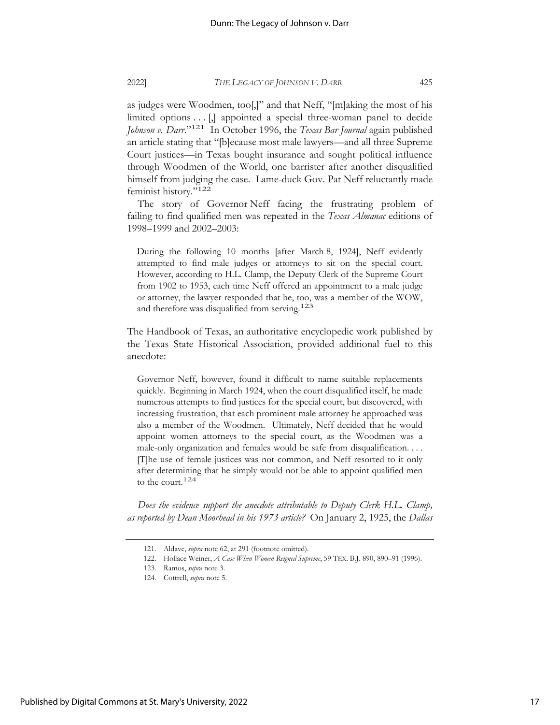as judges were Woodmen, too[,]" and that Neff, "[m]aking the most of his limited options . . . [,] appointed a special three-woman panel to decide *Johnson v. Darr*."121 In October 1996, the *Texas Bar Journal* again published an article stating that "[b]ecause most male lawyers—and all three Supreme Court justices—in Texas bought insurance and sought political influence through Woodmen of the World, one barrister after another disqualified himself from judging the case. Lame-duck Gov. Pat Neff reluctantly made feminist history."122

The story of Governor Neff facing the frustrating problem of failing to find qualified men was repeated in the *Texas Almanac* editions of 1998–1999 and 2002–2003:

During the following 10 months [after March 8, 1924], Neff evidently attempted to find male judges or attorneys to sit on the special court. However, according to H.L. Clamp, the Deputy Clerk of the Supreme Court from 1902 to 1953, each time Neff offered an appointment to a male judge or attorney, the lawyer responded that he, too, was a member of the WOW, and therefore was disqualified from serving.<sup>123</sup>

The Handbook of Texas, an authoritative encyclopedic work published by the Texas State Historical Association, provided additional fuel to this anecdote:

Governor Neff, however, found it difficult to name suitable replacements quickly. Beginning in March 1924, when the court disqualified itself, he made numerous attempts to find justices for the special court, but discovered, with increasing frustration, that each prominent male attorney he approached was also a member of the Woodmen. Ultimately, Neff decided that he would appoint women attorneys to the special court, as the Woodmen was a male-only organization and females would be safe from disqualification. . . . [T]he use of female justices was not common, and Neff resorted to it only after determining that he simply would not be able to appoint qualified men to the court.<sup>124</sup>

*Does the evidence support the anecdote attributable to Deputy Clerk H.L. Clamp, as reported by Dean Moorhead in his 1973 article?* On January 2, 1925, the *Dallas* 

<sup>121.</sup> Aldave, *supra* note 62, at 291 (footnote omitted).

<sup>122.</sup> Hollace Weiner, *A Case When Women Reigned Supreme*, 59 TEX. B.J. 890, 890–91 (1996).

<sup>123.</sup> Ramos, *supra* note 3.

<sup>124.</sup> Cottrell, *supra* note 5.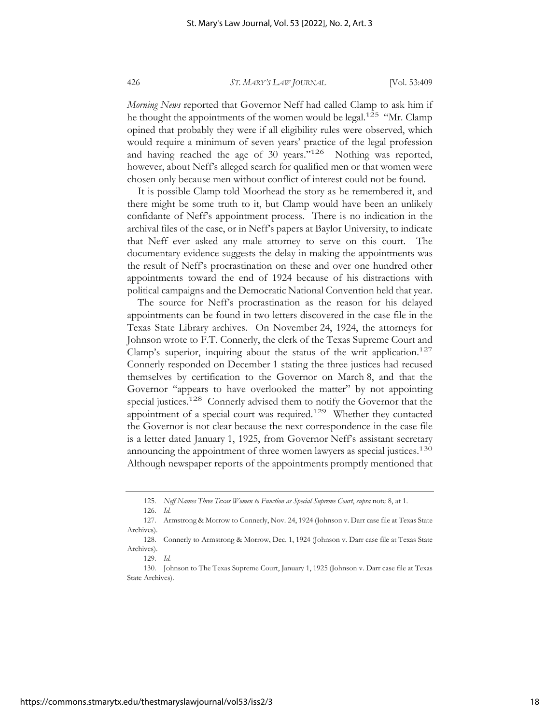*Morning News* reported that Governor Neff had called Clamp to ask him if he thought the appointments of the women would be legal.<sup>125</sup> "Mr. Clamp" opined that probably they were if all eligibility rules were observed, which would require a minimum of seven years' practice of the legal profession and having reached the age of 30 years."126 Nothing was reported, however, about Neff's alleged search for qualified men or that women were chosen only because men without conflict of interest could not be found.

It is possible Clamp told Moorhead the story as he remembered it, and there might be some truth to it, but Clamp would have been an unlikely confidante of Neff's appointment process. There is no indication in the archival files of the case, or in Neff's papers at Baylor University, to indicate that Neff ever asked any male attorney to serve on this court. The documentary evidence suggests the delay in making the appointments was the result of Neff's procrastination on these and over one hundred other appointments toward the end of 1924 because of his distractions with political campaigns and the Democratic National Convention held that year.

The source for Neff's procrastination as the reason for his delayed appointments can be found in two letters discovered in the case file in the Texas State Library archives. On November 24, 1924, the attorneys for Johnson wrote to F.T. Connerly, the clerk of the Texas Supreme Court and Clamp's superior, inquiring about the status of the writ application.<sup>127</sup> Connerly responded on December 1 stating the three justices had recused themselves by certification to the Governor on March 8, and that the Governor "appears to have overlooked the matter" by not appointing special justices.<sup>128</sup> Connerly advised them to notify the Governor that the appointment of a special court was required.<sup>129</sup> Whether they contacted the Governor is not clear because the next correspondence in the case file is a letter dated January 1, 1925, from Governor Neff's assistant secretary announcing the appointment of three women lawyers as special justices.<sup>130</sup> Although newspaper reports of the appointments promptly mentioned that

<sup>125.</sup> *Neff Names Three Texas Women to Function as Special Supreme Court*, *supra* note 8, at 1.

<sup>126.</sup> *Id.*

<sup>127.</sup> Armstrong & Morrow to Connerly, Nov. 24, 1924 (Johnson v. Darr case file at Texas State Archives).

<sup>128.</sup> Connerly to Armstrong & Morrow, Dec. 1, 1924 (Johnson v. Darr case file at Texas State Archives).

<sup>129.</sup> *Id.*

<sup>130.</sup> Johnson to The Texas Supreme Court, January 1, 1925 (Johnson v. Darr case file at Texas State Archives).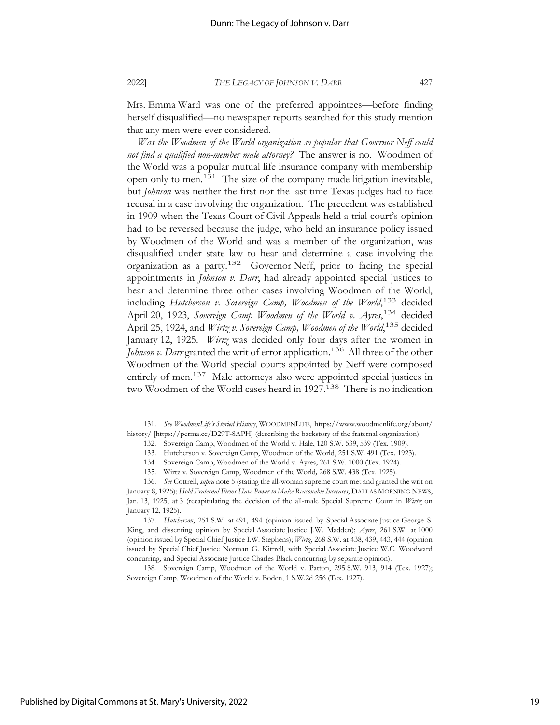Mrs. Emma Ward was one of the preferred appointees—before finding herself disqualified—no newspaper reports searched for this study mention that any men were ever considered.

*Was the Woodmen of the World organization so popular that Governor Neff could not find a qualified non-member male attorney?* The answer is no. Woodmen of the World was a popular mutual life insurance company with membership open only to men.131 The size of the company made litigation inevitable, but *Johnson* was neither the first nor the last time Texas judges had to face recusal in a case involving the organization. The precedent was established in 1909 when the Texas Court of Civil Appeals held a trial court's opinion had to be reversed because the judge, who held an insurance policy issued by Woodmen of the World and was a member of the organization, was disqualified under state law to hear and determine a case involving the organization as a party.132 Governor Neff, prior to facing the special appointments in *Johnson v. Darr*, had already appointed special justices to hear and determine three other cases involving Woodmen of the World, including Hutcherson v. Sovereign Camp, Woodmen of the World,<sup>133</sup> decided April 20, 1923, *Sovereign Camp Woodmen of the World v. Ayres*, 134 decided April 25, 1924, and *Wirtz v. Sovereign Camp, Woodmen of the World*, 135 decided January 12, 1925. *Wirtz* was decided only four days after the women in *Johnson v. Darr* granted the writ of error application.<sup>136</sup> All three of the other Woodmen of the World special courts appointed by Neff were composed entirely of men.<sup>137</sup> Male attorneys also were appointed special justices in two Woodmen of the World cases heard in 1927.<sup>138</sup> There is no indication

138*.* Sovereign Camp, Woodmen of the World v. Patton, 295 S.W. 913, 914 (Tex. 1927); Sovereign Camp, Woodmen of the World v. Boden, 1 S.W.2d 256 (Tex. 1927).

<sup>131.</sup> *See WoodmenLife's Storied History*, WOODMENLIFE, https://www.woodmenlife.org/about/ history/ [https://perma.cc/D29T-8APH] (describing the backstory of the fraternal organization).

<sup>132.</sup> Sovereign Camp, Woodmen of the World v. Hale, 120 S.W. 539, 539 (Tex. 1909).

<sup>133.</sup> Hutcherson v. Sovereign Camp, Woodmen of the World, 251 S.W. 491 (Tex. 1923).

<sup>134</sup>*.* Sovereign Camp, Woodmen of the World v. Ayres, 261 S.W. 1000 (Tex. 1924).

<sup>135.</sup> Wirtz v. Sovereign Camp, Woodmen of the World*,* 268 S.W. 438 (Tex. 1925).

<sup>136.</sup> *See* Cottrell, *supra* note 5 (stating the all-woman supreme court met and granted the writ on January 8, 1925); *Hold Fraternal Firms Have Power to Make Reasonable Increases*, DALLAS MORNING NEWS, Jan. 13, 1925, at 3 (recapitulating the decision of the all-male Special Supreme Court in *Wirtz* on January 12, 1925).

<sup>137.</sup> *Hutcherson*, 251 S.W. at 491, 494 (opinion issued by Special Associate Justice George S. King, and dissenting opinion by Special Associate Justice J.W. Madden); *Ayres*, 261 S.W. at 1000 (opinion issued by Special Chief Justice I.W. Stephens); *Wirtz*, 268 S.W. at 438, 439, 443, 444 (opinion issued by Special Chief Justice Norman G. Kittrell, with Special Associate Justice W.C. Woodward concurring, and Special Associate Justice Charles Black concurring by separate opinion).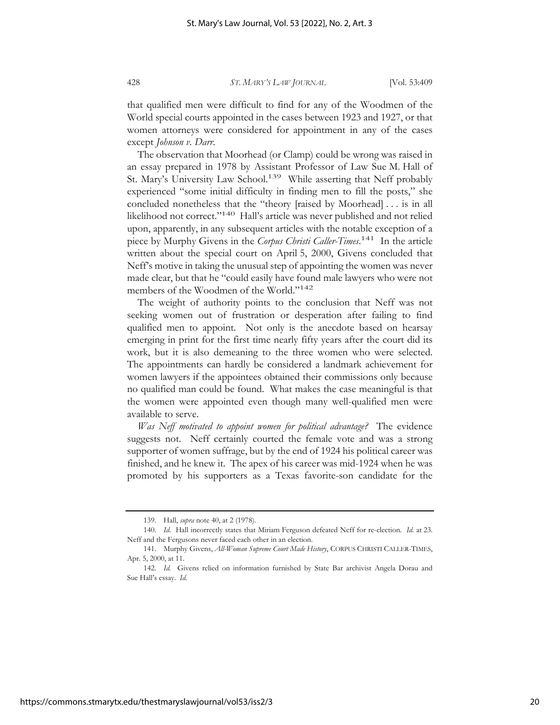that qualified men were difficult to find for any of the Woodmen of the World special courts appointed in the cases between 1923 and 1927, or that women attorneys were considered for appointment in any of the cases except *Johnson v. Darr*.

The observation that Moorhead (or Clamp) could be wrong was raised in an essay prepared in 1978 by Assistant Professor of Law Sue M. Hall of St. Mary's University Law School.<sup>139</sup> While asserting that Neff probably experienced "some initial difficulty in finding men to fill the posts," she concluded nonetheless that the "theory [raised by Moorhead] . . . is in all likelihood not correct."140 Hall's article was never published and not relied upon, apparently, in any subsequent articles with the notable exception of a piece by Murphy Givens in the *Corpus Christi Caller-Times*. 141 In the article written about the special court on April 5, 2000, Givens concluded that Neff's motive in taking the unusual step of appointing the women was never made clear, but that he "could easily have found male lawyers who were not members of the Woodmen of the World."142

The weight of authority points to the conclusion that Neff was not seeking women out of frustration or desperation after failing to find qualified men to appoint. Not only is the anecdote based on hearsay emerging in print for the first time nearly fifty years after the court did its work, but it is also demeaning to the three women who were selected. The appointments can hardly be considered a landmark achievement for women lawyers if the appointees obtained their commissions only because no qualified man could be found. What makes the case meaningful is that the women were appointed even though many well-qualified men were available to serve.

*Was Neff motivated to appoint women for political advantage?* The evidence suggests not. Neff certainly courted the female vote and was a strong supporter of women suffrage, but by the end of 1924 his political career was finished, and he knew it. The apex of his career was mid-1924 when he was promoted by his supporters as a Texas favorite-son candidate for the

<sup>139.</sup> Hall, *supra* note 40, at 2 (1978).

<sup>140.</sup> *Id.* Hall incorrectly states that Miriam Ferguson defeated Neff for re-election. *Id.* at 23. Neff and the Fergusons never faced each other in an election.

<sup>141.</sup> Murphy Givens, *All-Woman Supreme Court Made History*, CORPUS CHRISTI CALLER-TIMES, Apr. 5, 2000, at 11.

<sup>142.</sup> *Id.* Givens relied on information furnished by State Bar archivist Angela Dorau and Sue Hall's essay. *Id.*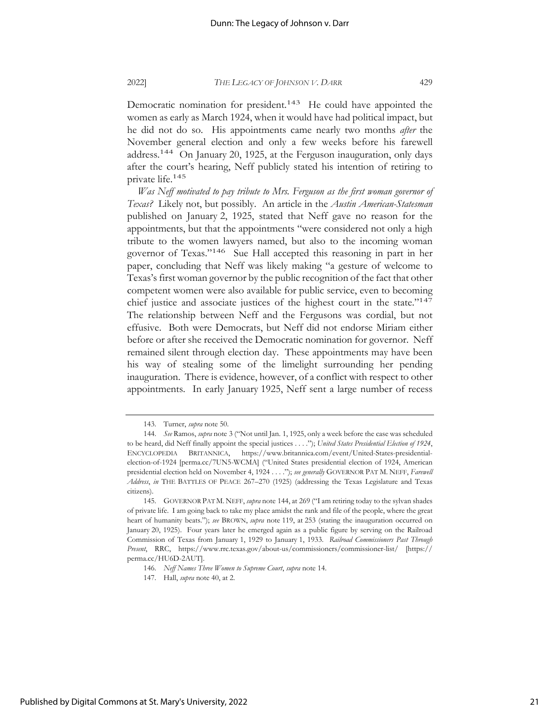Democratic nomination for president.<sup>143</sup> He could have appointed the women as early as March 1924, when it would have had political impact, but he did not do so. His appointments came nearly two months *after* the

November general election and only a few weeks before his farewell address.144 On January 20, 1925, at the Ferguson inauguration, only days after the court's hearing, Neff publicly stated his intention of retiring to private life.145

*Was Neff motivated to pay tribute to Mrs. Ferguson as the first woman governor of Texas?* Likely not, but possibly. An article in the *Austin American-Statesman* published on January 2, 1925, stated that Neff gave no reason for the appointments, but that the appointments "were considered not only a high tribute to the women lawyers named, but also to the incoming woman governor of Texas."146 Sue Hall accepted this reasoning in part in her paper, concluding that Neff was likely making "a gesture of welcome to Texas's first woman governor by the public recognition of the fact that other competent women were also available for public service, even to becoming chief justice and associate justices of the highest court in the state."<sup>147</sup> The relationship between Neff and the Fergusons was cordial, but not effusive. Both were Democrats, but Neff did not endorse Miriam either before or after she received the Democratic nomination for governor. Neff remained silent through election day. These appointments may have been his way of stealing some of the limelight surrounding her pending inauguration. There is evidence, however, of a conflict with respect to other appointments. In early January 1925, Neff sent a large number of recess

<sup>143.</sup> Turner, *supra* note 50.

<sup>144.</sup> *See* Ramos, *supra* note 3 ("Not until Jan. 1, 1925, only a week before the case was scheduled to be heard, did Neff finally appoint the special justices . . . ."); *United States Presidential Election of 1924*, ENCYCLOPEDIA BRITANNICA, https://www.britannica.com/event/United-States-presidentialelection-of-1924 [perma.cc/7UN5-WCMA] ("United States presidential election of 1924, American presidential election held on November 4, 1924 . . . ."); *see generally* GOVERNOR PAT M. NEFF, *Farewell Address*, *in* THE BATTLES OF PEACE 267–270 (1925) (addressing the Texas Legislature and Texas citizens).

<sup>145.</sup> GOVERNOR PAT M. NEFF, *supra* note 144, at 269 ("I am retiring today to the sylvan shades of private life. I am going back to take my place amidst the rank and file of the people, where the great heart of humanity beats."); *see* BROWN, *supra* note 119, at 253 (stating the inauguration occurred on January 20, 1925). Four years later he emerged again as a public figure by serving on the Railroad Commission of Texas from January 1, 1929 to January 1, 1933. *Railroad Commissioners Past Through Present*, RRC, https://www.rrc.texas.gov/about-us/commissioners/commissioner-list/ [https:// perma.cc/HU6D-2AUT].

<sup>146.</sup> *Neff Names Three Women to Supreme Court*, *supra* note 14.

<sup>147.</sup> Hall, *supra* note 40, at 2.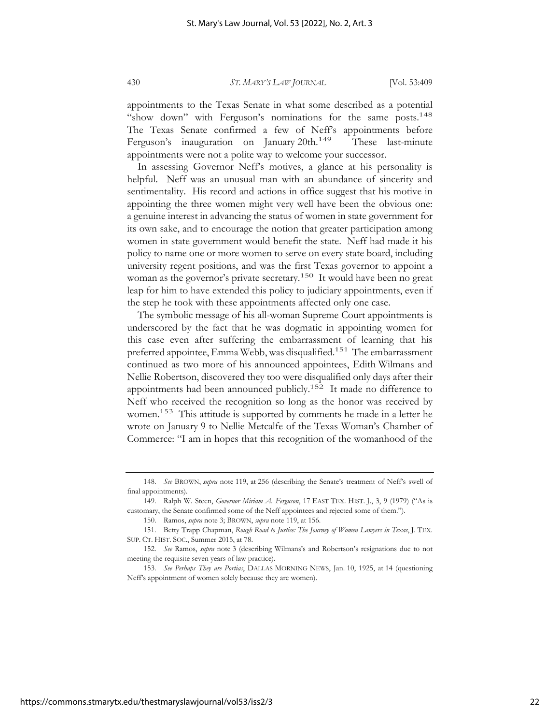appointments to the Texas Senate in what some described as a potential "show down" with Ferguson's nominations for the same posts.<sup>148</sup> The Texas Senate confirmed a few of Neff's appointments before Ferguson's inauguration on January 20th.<sup>149</sup> These last-minute appointments were not a polite way to welcome your successor.

In assessing Governor Neff's motives, a glance at his personality is helpful. Neff was an unusual man with an abundance of sincerity and sentimentality. His record and actions in office suggest that his motive in appointing the three women might very well have been the obvious one: a genuine interest in advancing the status of women in state government for its own sake, and to encourage the notion that greater participation among women in state government would benefit the state. Neff had made it his policy to name one or more women to serve on every state board, including university regent positions, and was the first Texas governor to appoint a woman as the governor's private secretary.<sup>150</sup> It would have been no great leap for him to have extended this policy to judiciary appointments, even if the step he took with these appointments affected only one case.

The symbolic message of his all-woman Supreme Court appointments is underscored by the fact that he was dogmatic in appointing women for this case even after suffering the embarrassment of learning that his preferred appointee, Emma Webb, was disqualified.<sup>151</sup> The embarrassment continued as two more of his announced appointees, Edith Wilmans and Nellie Robertson, discovered they too were disqualified only days after their appointments had been announced publicly.<sup>152</sup> It made no difference to Neff who received the recognition so long as the honor was received by women.153 This attitude is supported by comments he made in a letter he wrote on January 9 to Nellie Metcalfe of the Texas Woman's Chamber of Commerce: "I am in hopes that this recognition of the womanhood of the

<sup>148.</sup> *See* BROWN, *supra* note 119, at 256 (describing the Senate's treatment of Neff's swell of final appointments).

<sup>149.</sup> Ralph W. Steen, *Governor Miriam A. Ferguson*, 17 EAST TEX. HIST. J., 3, 9 (1979) ("As is customary, the Senate confirmed some of the Neff appointees and rejected some of them.").

<sup>150.</sup> Ramos, *supra* note 3; BROWN, *supra* note 119, at 156.

<sup>151.</sup> Betty Trapp Chapman, *Rough Road to Justice: The Journey of Women Lawyers in Texas*, J. TEX. SUP. CT. HIST. SOC., Summer 2015, at 78.

<sup>152.</sup> *See* Ramos, *supra* note 3 (describing Wilmans's and Robertson's resignations due to not meeting the requisite seven years of law practice).

<sup>153.</sup> *See Perhaps They are Portias*, DALLAS MORNING NEWS, Jan. 10, 1925, at 14 (questioning Neff's appointment of women solely because they are women).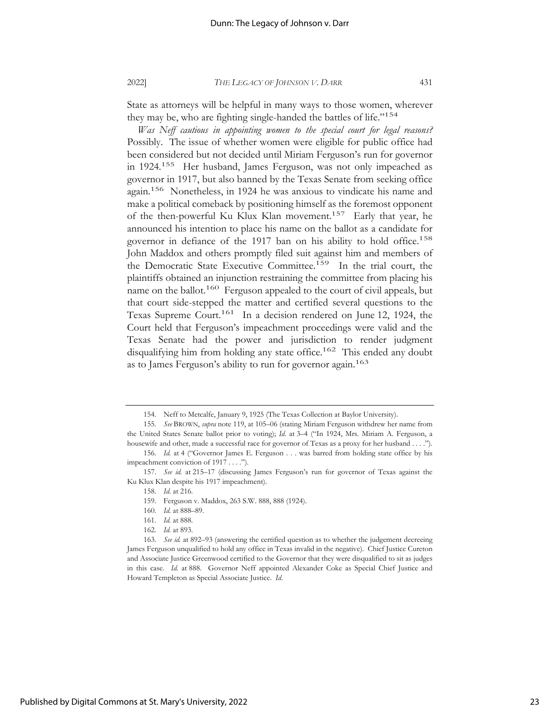State as attorneys will be helpful in many ways to those women, wherever they may be, who are fighting single-handed the battles of life."154

*Was Neff cautious in appointing women to the special court for legal reasons?* Possibly. The issue of whether women were eligible for public office had been considered but not decided until Miriam Ferguson's run for governor in 1924.155 Her husband, James Ferguson, was not only impeached as governor in 1917, but also banned by the Texas Senate from seeking office again.156 Nonetheless, in 1924 he was anxious to vindicate his name and make a political comeback by positioning himself as the foremost opponent of the then-powerful Ku Klux Klan movement.157 Early that year, he announced his intention to place his name on the ballot as a candidate for governor in defiance of the 1917 ban on his ability to hold office.<sup>158</sup> John Maddox and others promptly filed suit against him and members of the Democratic State Executive Committee.<sup>159</sup> In the trial court, the plaintiffs obtained an injunction restraining the committee from placing his name on the ballot.<sup>160</sup> Ferguson appealed to the court of civil appeals, but that court side-stepped the matter and certified several questions to the Texas Supreme Court.<sup>161</sup> In a decision rendered on June 12, 1924, the Court held that Ferguson's impeachment proceedings were valid and the Texas Senate had the power and jurisdiction to render judgment disqualifying him from holding any state office.<sup>162</sup> This ended any doubt as to James Ferguson's ability to run for governor again.<sup>163</sup>

<sup>154.</sup> Neff to Metcalfe, January 9, 1925 (The Texas Collection at Baylor University).

<sup>155.</sup> *See* BROWN, *supra* note 119, at 105–06 (stating Miriam Ferguson withdrew her name from the United States Senate ballot prior to voting); *Id.* at 3–4 ("In 1924, Mrs. Miriam A. Ferguson, a housewife and other, made a successful race for governor of Texas as a proxy for her husband . . . .").

<sup>156.</sup> *Id.* at 4 ("Governor James E. Ferguson . . . was barred from holding state office by his impeachment conviction of 1917 . . . .").

<sup>157.</sup> *See id.* at 215–17 (discussing James Ferguson's run for governor of Texas against the Ku Klux Klan despite his 1917 impeachment).

<sup>158.</sup> *Id.* at 216.

<sup>159.</sup> Ferguson v. Maddox, 263 S.W. 888, 888 (1924).

<sup>160.</sup> *Id.* at 888–89.

<sup>161.</sup> *Id.* at 888.

<sup>162.</sup> *Id.* at 893.

<sup>163.</sup> *See id.* at 892–93 (answering the certified question as to whether the judgement decreeing James Ferguson unqualified to hold any office in Texas invalid in the negative). Chief Justice Cureton and Associate Justice Greenwood certified to the Governor that they were disqualified to sit as judges in this case. *Id.* at 888. Governor Neff appointed Alexander Coke as Special Chief Justice and Howard Templeton as Special Associate Justice. *Id.*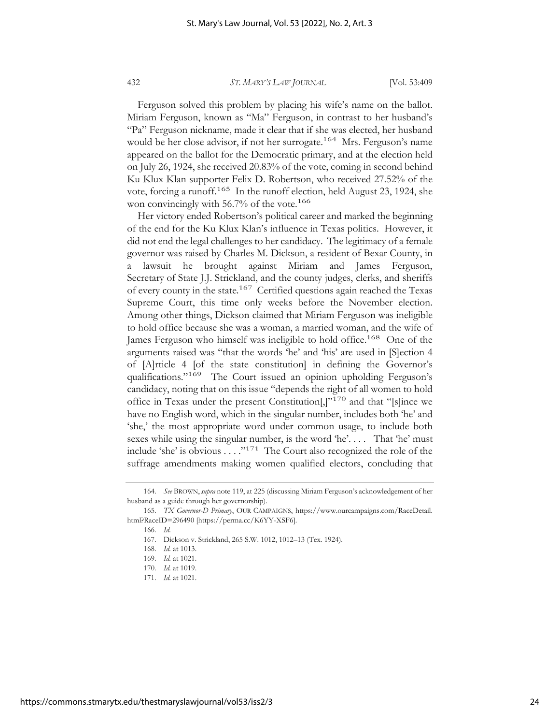Ferguson solved this problem by placing his wife's name on the ballot. Miriam Ferguson, known as "Ma" Ferguson, in contrast to her husband's "Pa" Ferguson nickname, made it clear that if she was elected, her husband would be her close advisor, if not her surrogate.<sup>164</sup> Mrs. Ferguson's name appeared on the ballot for the Democratic primary, and at the election held on July 26, 1924, she received 20.83% of the vote, coming in second behind Ku Klux Klan supporter Felix D. Robertson, who received 27.52% of the vote, forcing a runoff.165 In the runoff election, held August 23, 1924, she won convincingly with 56.7% of the vote.<sup>166</sup>

Her victory ended Robertson's political career and marked the beginning of the end for the Ku Klux Klan's influence in Texas politics. However, it did not end the legal challenges to her candidacy. The legitimacy of a female governor was raised by Charles M. Dickson, a resident of Bexar County, in a lawsuit he brought against Miriam and James Ferguson, Secretary of State J.J. Strickland, and the county judges, clerks, and sheriffs of every county in the state.<sup>167</sup> Certified questions again reached the Texas Supreme Court, this time only weeks before the November election. Among other things, Dickson claimed that Miriam Ferguson was ineligible to hold office because she was a woman, a married woman, and the wife of James Ferguson who himself was ineligible to hold office.<sup>168</sup> One of the arguments raised was "that the words 'he' and 'his' are used in [S]ection 4 of [A]rticle 4 [of the state constitution] in defining the Governor's qualifications."169 The Court issued an opinion upholding Ferguson's candidacy, noting that on this issue "depends the right of all women to hold office in Texas under the present Constitution[,]"170 and that "[s]ince we have no English word, which in the singular number, includes both 'he' and 'she,' the most appropriate word under common usage, to include both sexes while using the singular number, is the word 'he'.... That 'he' must include 'she' is obvious  $\dots$ ."<sup>171</sup> The Court also recognized the role of the suffrage amendments making women qualified electors, concluding that

<sup>164.</sup> *See* BROWN, *supra* note 119, at 225 (discussing Miriam Ferguson's acknowledgement of her husband as a guide through her governorship).

<sup>165.</sup> *TX Governor-D Primary*, OUR CAMPAIGNS, https://www.ourcampaigns.com/RaceDetail. html?RaceID=296490 [https://perma.cc/K6YY-XSF6].

<sup>166.</sup> *Id.*

<sup>167.</sup> Dickson v. Strickland, 265 S.W. 1012, 1012–13 (Tex. 1924).

<sup>168.</sup> *Id.* at 1013.

<sup>169.</sup> *Id.* at 1021.

<sup>170.</sup> *Id.* at 1019.

<sup>171.</sup> *Id.* at 1021.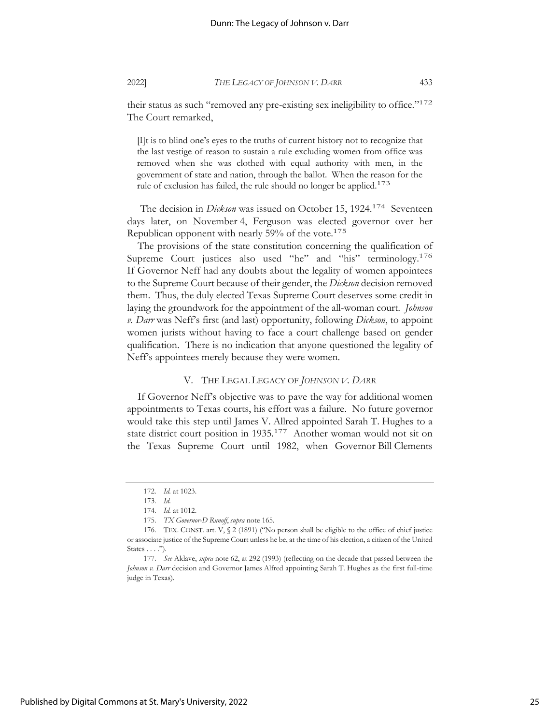their status as such "removed any pre-existing sex ineligibility to office."<sup>172</sup> The Court remarked,

[I]t is to blind one's eyes to the truths of current history not to recognize that the last vestige of reason to sustain a rule excluding women from office was removed when she was clothed with equal authority with men, in the government of state and nation, through the ballot. When the reason for the rule of exclusion has failed, the rule should no longer be applied.<sup>173</sup>

The decision in *Dickson* was issued on October 15, 1924.<sup>174</sup> Seventeen days later, on November 4, Ferguson was elected governor over her Republican opponent with nearly 59% of the vote.<sup>175</sup>

The provisions of the state constitution concerning the qualification of Supreme Court justices also used "he" and "his" terminology.<sup>176</sup> If Governor Neff had any doubts about the legality of women appointees to the Supreme Court because of their gender, the *Dickson* decision removed them. Thus, the duly elected Texas Supreme Court deserves some credit in laying the groundwork for the appointment of the all-woman court. *Johnson v. Darr* was Neff's first (and last) opportunity, following *Dickson*, to appoint women jurists without having to face a court challenge based on gender qualification. There is no indication that anyone questioned the legality of Neff's appointees merely because they were women.

#### V. THE LEGAL LEGACY OF *JOHNSON V. DARR*

If Governor Neff's objective was to pave the way for additional women appointments to Texas courts, his effort was a failure. No future governor would take this step until James V. Allred appointed Sarah T. Hughes to a state district court position in 1935.177 Another woman would not sit on the Texas Supreme Court until 1982, when Governor Bill Clements

<sup>172.</sup> *Id.* at 1023.

<sup>173.</sup> *Id.*

<sup>174.</sup> *Id.* at 1012.

<sup>175.</sup> *TX Governor-D Runoff*, *supra* note 165.

<sup>176.</sup> TEX. CONST. art. V, § 2 (1891) ("No person shall be eligible to the office of chief justice or associate justice of the Supreme Court unless he be, at the time of his election, a citizen of the United States . . . .").

<sup>177.</sup> *See* Aldave, *supra* note 62, at 292 (1993) (reflecting on the decade that passed between the *Johnson v. Darr* decision and Governor James Alfred appointing Sarah T. Hughes as the first full-time judge in Texas).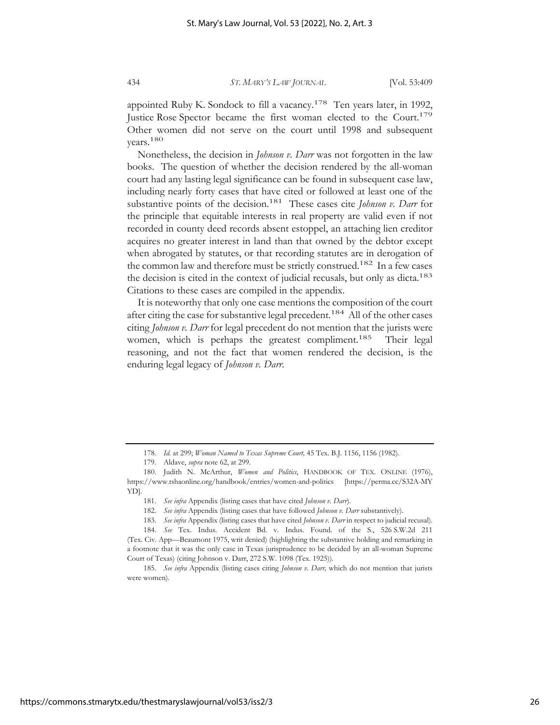appointed Ruby K. Sondock to fill a vacancy.<sup>178</sup> Ten years later, in 1992, Justice Rose Spector became the first woman elected to the Court.<sup>179</sup> Other women did not serve on the court until 1998 and subsequent years.180

Nonetheless, the decision in *Johnson v. Darr* was not forgotten in the law books. The question of whether the decision rendered by the all-woman court had any lasting legal significance can be found in subsequent case law, including nearly forty cases that have cited or followed at least one of the substantive points of the decision.<sup>181</sup> These cases cite *Johnson v. Darr* for the principle that equitable interests in real property are valid even if not recorded in county deed records absent estoppel, an attaching lien creditor acquires no greater interest in land than that owned by the debtor except when abrogated by statutes, or that recording statutes are in derogation of the common law and therefore must be strictly construed.<sup>182</sup> In a few cases the decision is cited in the context of judicial recusals, but only as dicta.<sup>183</sup> Citations to these cases are compiled in the appendix.

It is noteworthy that only one case mentions the composition of the court after citing the case for substantive legal precedent.<sup>184</sup> All of the other cases citing *Johnson v. Darr* for legal precedent do not mention that the jurists were women, which is perhaps the greatest compliment.<sup>185</sup> Their legal reasoning, and not the fact that women rendered the decision, is the enduring legal legacy of *Johnson v. Darr*.

<sup>178.</sup> *Id.* at 299; *Woman Named to Texas Supreme Court,* 45 Tex. B.J. 1156, 1156 (1982).

<sup>179.</sup> Aldave, *supra* note 62, at 299.

<sup>180.</sup> Judith N. McArthur, *Women and Politics*, HANDBOOK OF TEX. ONLINE (1976), https://www.tshaonline.org/handbook/entries/women-and-politics [https://perma.cc/S32A-MY YD].

<sup>181.</sup> *See infra* Appendix (listing cases that have cited *Johnson v. Darr*).

<sup>182.</sup> *See infra* Appendix (listing cases that have followed *Johnson v. Darr* substantively).

<sup>183.</sup> *See infra* Appendix (listing cases that have cited *Johnson v. Darr* in respect to judicial recusal).

<sup>184.</sup> *See* Tex. Indus. Accident Bd. v. Indus. Found. of the S., 526 S.W.2d 211 (Tex. Civ. App—Beaumont 1975, writ denied) (highlighting the substantive holding and remarking in a footnote that it was the only case in Texas jurisprudence to be decided by an all-woman Supreme Court of Texas) (citing Johnson v. Darr, 272 S.W. 1098 (Tex. 1925)).

<sup>185.</sup> *See infra* Appendix (listing cases citing *Johnson v. Darr,* which do not mention that jurists were women).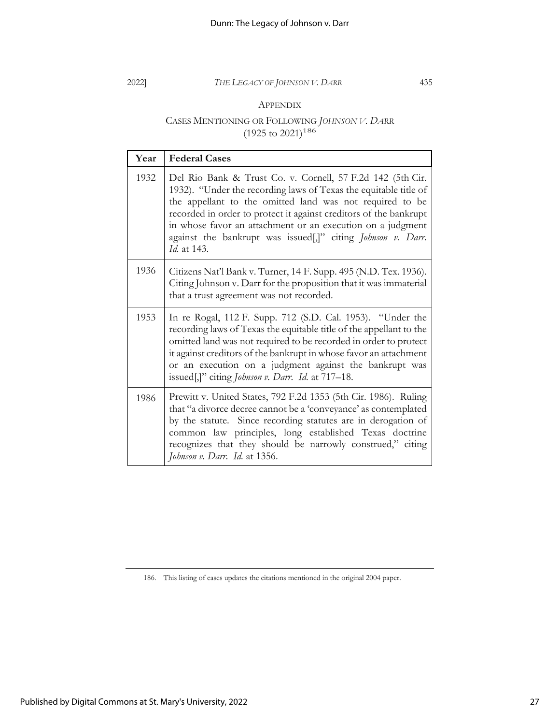### APPENDIX

## CASES MENTIONING OR FOLLOWING *JOHNSON V. DARR*  $(1925 \text{ to } 2021)^{186}$

| Year | <b>Federal Cases</b>                                                                                                                                                                                                                                                                                                                                                                                        |
|------|-------------------------------------------------------------------------------------------------------------------------------------------------------------------------------------------------------------------------------------------------------------------------------------------------------------------------------------------------------------------------------------------------------------|
| 1932 | Del Rio Bank & Trust Co. v. Cornell, 57 F.2d 142 (5th Cir.<br>1932). "Under the recording laws of Texas the equitable title of<br>the appellant to the omitted land was not required to be<br>recorded in order to protect it against creditors of the bankrupt<br>in whose favor an attachment or an execution on a judgment<br>against the bankrupt was issued[,]" citing Johnson v. Darr.<br>Id. at 143. |
| 1936 | Citizens Nat'l Bank v. Turner, 14 F. Supp. 495 (N.D. Tex. 1936).<br>Citing Johnson v. Darr for the proposition that it was immaterial<br>that a trust agreement was not recorded.                                                                                                                                                                                                                           |
| 1953 | In re Rogal, 112 F. Supp. 712 (S.D. Cal. 1953). "Under the<br>recording laws of Texas the equitable title of the appellant to the<br>omitted land was not required to be recorded in order to protect<br>it against creditors of the bankrupt in whose favor an attachment<br>or an execution on a judgment against the bankrupt was<br>issued[,]" citing <i>Johnson v. Darr. Id.</i> at 717–18.            |
| 1986 | Prewitt v. United States, 792 F.2d 1353 (5th Cir. 1986). Ruling<br>that "a divorce decree cannot be a 'conveyance' as contemplated<br>by the statute. Since recording statutes are in derogation of<br>common law principles, long established Texas doctrine<br>recognizes that they should be narrowly construed," citing<br>Johnson v. Darr. Id. at 1356.                                                |

<sup>186.</sup> This listing of cases updates the citations mentioned in the original 2004 paper.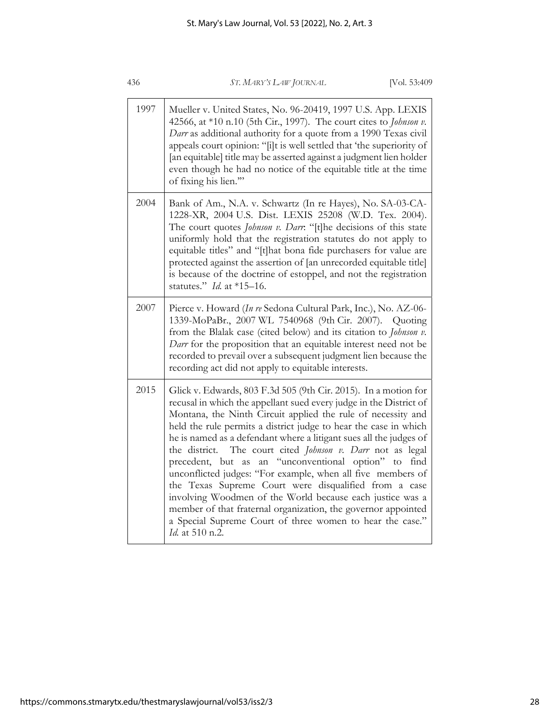| 436  | [Vol. 53:409<br>ST. MARY'S LAW JOURNAL                                                                                                                                                                                                                                                                                                                                                                                                                                                                                                                                                                                                                                                                                                                                                                         |
|------|----------------------------------------------------------------------------------------------------------------------------------------------------------------------------------------------------------------------------------------------------------------------------------------------------------------------------------------------------------------------------------------------------------------------------------------------------------------------------------------------------------------------------------------------------------------------------------------------------------------------------------------------------------------------------------------------------------------------------------------------------------------------------------------------------------------|
| 1997 | Mueller v. United States, No. 96-20419, 1997 U.S. App. LEXIS<br>42566, at *10 n.10 (5th Cir., 1997). The court cites to Johnson v.<br>Darr as additional authority for a quote from a 1990 Texas civil<br>appeals court opinion: "[i]t is well settled that 'the superiority of<br>[an equitable] title may be asserted against a judgment lien holder<br>even though he had no notice of the equitable title at the time<br>of fixing his lien."                                                                                                                                                                                                                                                                                                                                                              |
| 2004 | Bank of Am., N.A. v. Schwartz (In re Hayes), No. SA-03-CA-<br>1228-XR, 2004 U.S. Dist. LEXIS 25208 (W.D. Tex. 2004).<br>The court quotes Johnson v. Darr: "[t]he decisions of this state<br>uniformly hold that the registration statutes do not apply to<br>equitable titles" and "[t]hat bona fide purchasers for value are<br>protected against the assertion of [an unrecorded equitable title]<br>is because of the doctrine of estoppel, and not the registration<br>statutes." Id. at $*15-16$ .                                                                                                                                                                                                                                                                                                        |
| 2007 | Pierce v. Howard (In re Sedona Cultural Park, Inc.), No. AZ-06-<br>1339-MoPaBr., 2007 WL 7540968 (9th Cir. 2007). Quoting<br>from the Blalak case (cited below) and its citation to Johnson v.<br>Darr for the proposition that an equitable interest need not be<br>recorded to prevail over a subsequent judgment lien because the<br>recording act did not apply to equitable interests.                                                                                                                                                                                                                                                                                                                                                                                                                    |
| 2015 | Glick v. Edwards, 803 F.3d 505 (9th Cir. 2015). In a motion for<br>recusal in which the appellant sued every judge in the District of<br>Montana, the Ninth Circuit applied the rule of necessity and<br>held the rule permits a district judge to hear the case in which<br>he is named as a defendant where a litigant sues all the judges of<br>the district. The court cited Johnson v. Darr not as legal<br>an "unconventional option" to find<br>precedent, but as<br>unconflicted judges: "For example, when all five members of<br>the Texas Supreme Court were disqualified from a case<br>involving Woodmen of the World because each justice was a<br>member of that fraternal organization, the governor appointed<br>a Special Supreme Court of three women to hear the case."<br>Id. at 510 n.2. |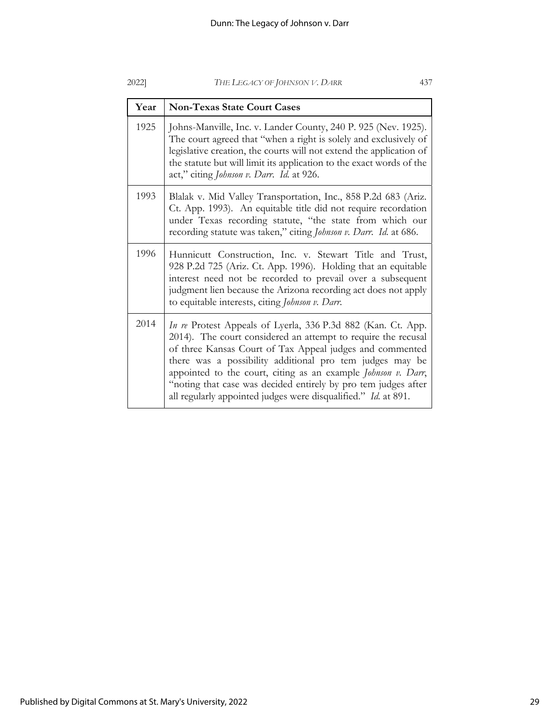| Year | <b>Non-Texas State Court Cases</b>                                                                                                                                                                                                                                                                                                                                                                                                                         |
|------|------------------------------------------------------------------------------------------------------------------------------------------------------------------------------------------------------------------------------------------------------------------------------------------------------------------------------------------------------------------------------------------------------------------------------------------------------------|
| 1925 | Johns-Manville, Inc. v. Lander County, 240 P. 925 (Nev. 1925).<br>The court agreed that "when a right is solely and exclusively of<br>legislative creation, the courts will not extend the application of<br>the statute but will limit its application to the exact words of the<br>act," citing Johnson v. Darr. Id. at 926.                                                                                                                             |
| 1993 | Blalak v. Mid Valley Transportation, Inc., 858 P.2d 683 (Ariz.<br>Ct. App. 1993). An equitable title did not require recordation<br>under Texas recording statute, "the state from which our<br>recording statute was taken," citing Johnson v. Darr. Id. at 686.                                                                                                                                                                                          |
| 1996 | Hunnicutt Construction, Inc. v. Stewart Title and Trust,<br>928 P.2d 725 (Ariz. Ct. App. 1996). Holding that an equitable<br>interest need not be recorded to prevail over a subsequent<br>judgment lien because the Arizona recording act does not apply<br>to equitable interests, citing Johnson v. Darr.                                                                                                                                               |
| 2014 | In re Protest Appeals of Lyerla, 336 P.3d 882 (Kan. Ct. App.<br>2014). The court considered an attempt to require the recusal<br>of three Kansas Court of Tax Appeal judges and commented<br>there was a possibility additional pro tem judges may be<br>appointed to the court, citing as an example Johnson v. Darr,<br>"noting that case was decided entirely by pro tem judges after<br>all regularly appointed judges were disqualified." Id. at 891. |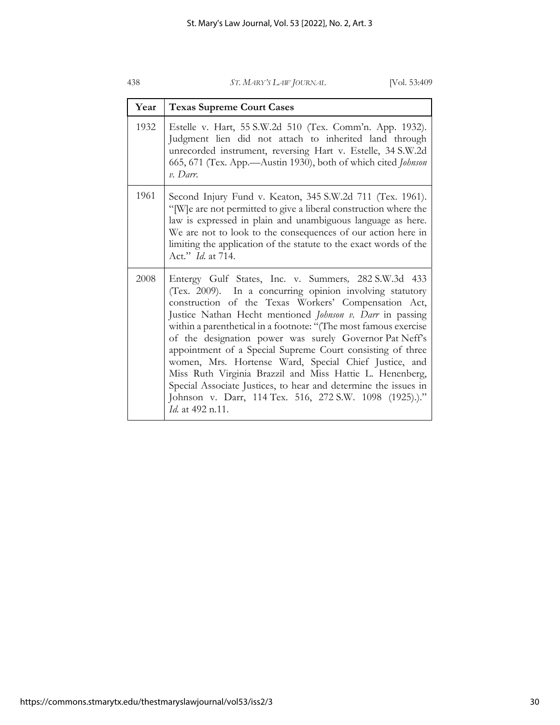| Year | <b>Texas Supreme Court Cases</b>                                                                                                                                                                                                                                                                                                                                                                                                                                                                                                                                                                                                                                                                                 |
|------|------------------------------------------------------------------------------------------------------------------------------------------------------------------------------------------------------------------------------------------------------------------------------------------------------------------------------------------------------------------------------------------------------------------------------------------------------------------------------------------------------------------------------------------------------------------------------------------------------------------------------------------------------------------------------------------------------------------|
| 1932 | Estelle v. Hart, 55 S.W.2d 510 (Tex. Comm'n. App. 1932).<br>Judgment lien did not attach to inherited land through<br>unrecorded instrument, reversing Hart v. Estelle, 34 S.W.2d<br>665, 671 (Tex. App.-Austin 1930), both of which cited Johnson<br>$v.$ Darr.                                                                                                                                                                                                                                                                                                                                                                                                                                                 |
| 1961 | Second Injury Fund v. Keaton, 345 S.W.2d 711 (Tex. 1961).<br>"[W]e are not permitted to give a liberal construction where the<br>law is expressed in plain and unambiguous language as here.<br>We are not to look to the consequences of our action here in<br>limiting the application of the statute to the exact words of the<br>Act." <i>Id.</i> at 714.                                                                                                                                                                                                                                                                                                                                                    |
| 2008 | Entergy Gulf States, Inc. v. Summers, 282 S.W.3d 433<br>(Tex. 2009). In a concurring opinion involving statutory<br>construction of the Texas Workers' Compensation Act,<br>Justice Nathan Hecht mentioned Johnson v. Darr in passing<br>within a parenthetical in a footnote: "(The most famous exercise<br>of the designation power was surely Governor Pat Neff's<br>appointment of a Special Supreme Court consisting of three<br>women, Mrs. Hortense Ward, Special Chief Justice, and<br>Miss Ruth Virginia Brazzil and Miss Hattie L. Henenberg,<br>Special Associate Justices, to hear and determine the issues in<br>Johnson v. Darr, 114 Tex. 516, 272 S.W. 1098 (1925).)."<br><i>Id.</i> at 492 n.11. |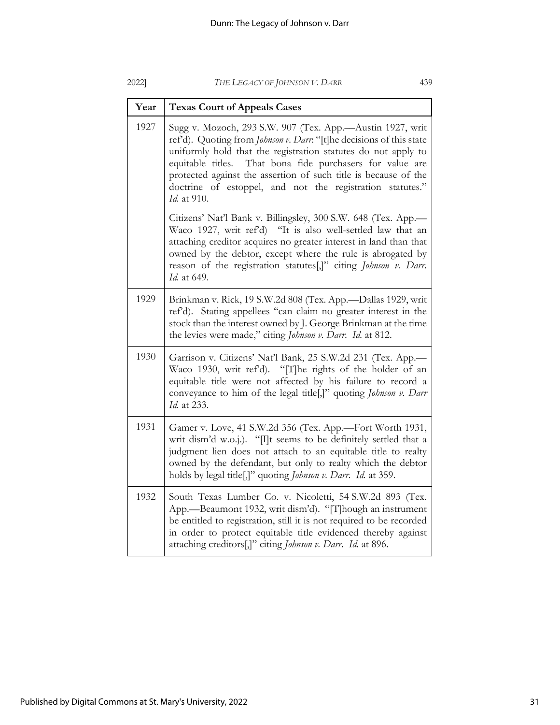|--|

*Id.* at 910.

*Id.* at 649.

#### 2022] *THE LEGACY OF JOHNSON V. DARR* 439

Year Texas Court of Appeals Cases 1927 Sugg v. Mozoch, 293 S.W. 907 (Tex. App.—Austin 1927, writ ref'd). Quoting from *Johnson v. Darr*: "[t]he decisions of this state uniformly hold that the registration statutes do not apply to equitable titles. That bona fide purchasers for value are protected against the assertion of such title is because of the doctrine of estoppel, and not the registration statutes." Citizens' Nat'l Bank v. Billingsley, 300 S.W. 648 (Tex. App.— Waco 1927, writ ref'd) "It is also well-settled law that an attaching creditor acquires no greater interest in land than that owned by the debtor, except where the rule is abrogated by reason of the registration statutes[,]" citing *Johnson v. Darr*. 1929 Brinkman v. Rick, 19 S.W.2d 808 (Tex. App.—Dallas 1929, writ ref'd). Stating appellees "can claim no greater interest in the stock than the interest owned by J. George Brinkman at the time the levies were made," citing *Johnson v. Darr*. *Id.* at 812.

| 1930   Garrison v. Citizens' Nat'l Bank, 25 S.W.2d 231 (Tex. App.<br>Waco 1930, writ ref'd). "[T]he rights of the holder of an<br>equitable title were not affected by his failure to record a<br>conveyance to him of the legal title[,]" quoting Johnson v. Darr<br><i>Id.</i> at 233. |
|------------------------------------------------------------------------------------------------------------------------------------------------------------------------------------------------------------------------------------------------------------------------------------------|
|                                                                                                                                                                                                                                                                                          |

| 1931   Gamer v. Love, 41 S.W.2d 356 (Tex. App.—Fort Worth 1931,  |
|------------------------------------------------------------------|
| writ dism'd w.o.j.). "[I]t seems to be definitely settled that a |
| judgment lien does not attach to an equitable title to realty    |
| owned by the defendant, but only to realty which the debtor      |
| holds by legal title[,]" quoting Johnson v. Darr. Id. at 359.    |
|                                                                  |

| 1932 | South Texas Lumber Co. v. Nicoletti, 54 S.W.2d 893 (Tex.             |
|------|----------------------------------------------------------------------|
|      | App.—Beaumont 1932, writ dism'd). "[T] hough an instrument           |
|      | be entitled to registration, still it is not required to be recorded |
|      | in order to protect equitable title evidenced thereby against        |
|      | attaching creditors[,]" citing Johnson v. Darr. Id. at 896.          |
|      |                                                                      |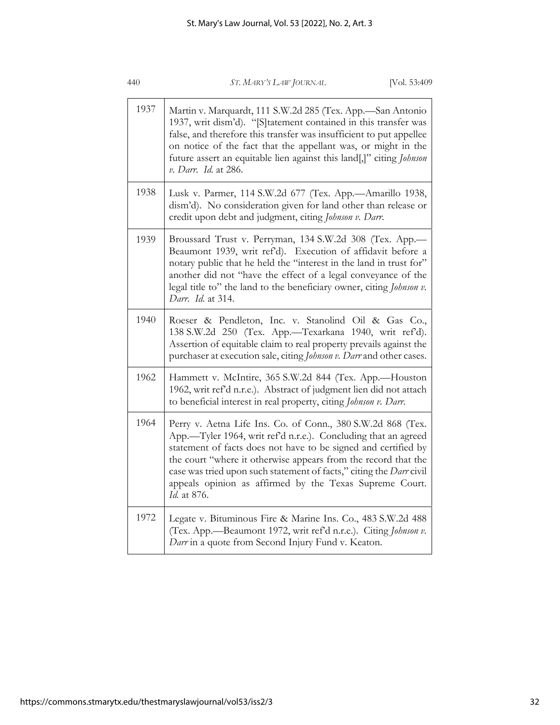| 440  | ST. MARY'S LAW JOURNAL<br>[VOL 53:409]                                                                                                                                                                                                                                                                                                                                                                             |
|------|--------------------------------------------------------------------------------------------------------------------------------------------------------------------------------------------------------------------------------------------------------------------------------------------------------------------------------------------------------------------------------------------------------------------|
| 1937 | Martin v. Marquardt, 111 S.W.2d 285 (Tex. App.-San Antonio<br>1937, writ dism'd). "[S]tatement contained in this transfer was<br>false, and therefore this transfer was insufficient to put appellee<br>on notice of the fact that the appellant was, or might in the<br>future assert an equitable lien against this land[,]" citing Johnson<br>v. Darr. Id. at 286.                                              |
| 1938 | Lusk v. Parmer, 114 S.W.2d 677 (Tex. App.---Amarillo 1938,<br>dism'd). No consideration given for land other than release or<br>credit upon debt and judgment, citing Johnson v. Darr.                                                                                                                                                                                                                             |
| 1939 | Broussard Trust v. Perryman, 134 S.W.2d 308 (Tex. App.<br>Beaumont 1939, writ ref'd). Execution of affidavit before a<br>notary public that he held the "interest in the land in trust for"<br>another did not "have the effect of a legal conveyance of the<br>legal title to" the land to the beneficiary owner, citing Johnson v.<br>Darr. Id. at 314.                                                          |
| 1940 | Roeser & Pendleton, Inc. v. Stanolind Oil & Gas Co.,<br>138 S.W.2d 250 (Tex. App.-Texarkana 1940, writ ref'd).<br>Assertion of equitable claim to real property prevails against the<br>purchaser at execution sale, citing Johnson v. Darr and other cases.                                                                                                                                                       |
| 1962 | Hammett v. McIntire, 365 S.W.2d 844 (Tex. App.-Houston<br>1962, writ ref'd n.r.e.). Abstract of judgment lien did not attach<br>to beneficial interest in real property, citing Johnson v. Darr.                                                                                                                                                                                                                   |
| 1964 | Perry v. Aetna Life Ins. Co. of Conn., 380 S.W.2d 868 (Tex.<br>App.-Tyler 1964, writ ref'd n.r.e.). Concluding that an agreed<br>statement of facts does not have to be signed and certified by<br>the court "where it otherwise appears from the record that the<br>case was tried upon such statement of facts," citing the Darr civil<br>appeals opinion as affirmed by the Texas Supreme Court.<br>Id. at 876. |
| 1972 | Legate v. Bituminous Fire & Marine Ins. Co., 483 S.W.2d 488<br>(Tex. App.-Beaumont 1972, writ ref'd n.r.e.). Citing Johnson v.<br>Darr in a quote from Second Injury Fund v. Keaton.                                                                                                                                                                                                                               |

440 *ST. MARY'S LAW JOURNAL* [Vol. 53:409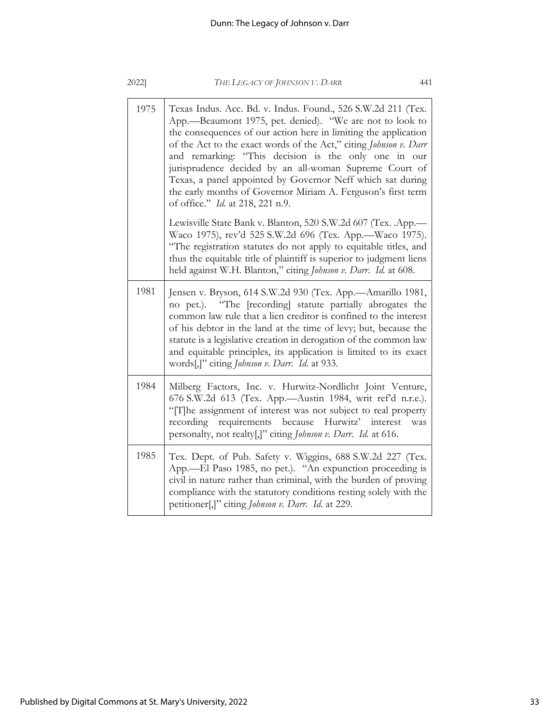| 2022] | THE LEGACY OF JOHNSON V. DARR<br>441                                                                                                                                                                                                                                                                                                                                                                                                                                                                                                                        |
|-------|-------------------------------------------------------------------------------------------------------------------------------------------------------------------------------------------------------------------------------------------------------------------------------------------------------------------------------------------------------------------------------------------------------------------------------------------------------------------------------------------------------------------------------------------------------------|
| 1975  | Texas Indus. Acc. Bd. v. Indus. Found., 526 S.W.2d 211 (Tex.<br>App.-Beaumont 1975, pet. denied). "We are not to look to<br>the consequences of our action here in limiting the application<br>of the Act to the exact words of the Act," citing Johnson v. Darr<br>and remarking: "This decision is the only one in our<br>jurisprudence decided by an all-woman Supreme Court of<br>Texas, a panel appointed by Governor Neff which sat during<br>the early months of Governor Miriam A. Ferguson's first term<br>of office." <i>Id.</i> at 218, 221 n.9. |
|       | Lewisville State Bank v. Blanton, 520 S.W.2d 607 (Tex. .App.-<br>Waco 1975), rev'd 525 S.W.2d 696 (Tex. App.- Waco 1975).<br>"The registration statutes do not apply to equitable titles, and<br>thus the equitable title of plaintiff is superior to judgment liens<br>held against W.H. Blanton," citing Johnson v. Darr. Id. at 608.                                                                                                                                                                                                                     |
| 1981  | Jensen v. Bryson, 614 S.W.2d 930 (Tex. App.--Amarillo 1981,<br>no pet.). "The [recording] statute partially abrogates the<br>common law rule that a lien creditor is confined to the interest<br>of his debtor in the land at the time of levy; but, because the<br>statute is a legislative creation in derogation of the common law<br>and equitable principles, its application is limited to its exact<br>words[,]" citing Johnson v. Darr. Id. at 933.                                                                                                 |
| 1984  | Milberg Factors, Inc. v. Hurwitz-Nordlicht Joint Venture,<br>676 S.W.2d 613 (Tex. App.-Austin 1984, writ ref'd n.r.e.).<br>"[T]he assignment of interest was not subject to real property<br>recording requirements because Hurwitz' interest<br>was<br>personalty, not realty[,]" citing Johnson v. Darr. Id. at 616.                                                                                                                                                                                                                                      |
| 1985  | Tex. Dept. of Pub. Safety v. Wiggins, 688 S.W.2d 227 (Tex.<br>App.—El Paso 1985, no pet.). "An expunction proceeding is<br>civil in nature rather than criminal, with the burden of proving<br>compliance with the statutory conditions resting solely with the<br>petitioner[,]" citing Johnson v. Darr. Id. at 229.                                                                                                                                                                                                                                       |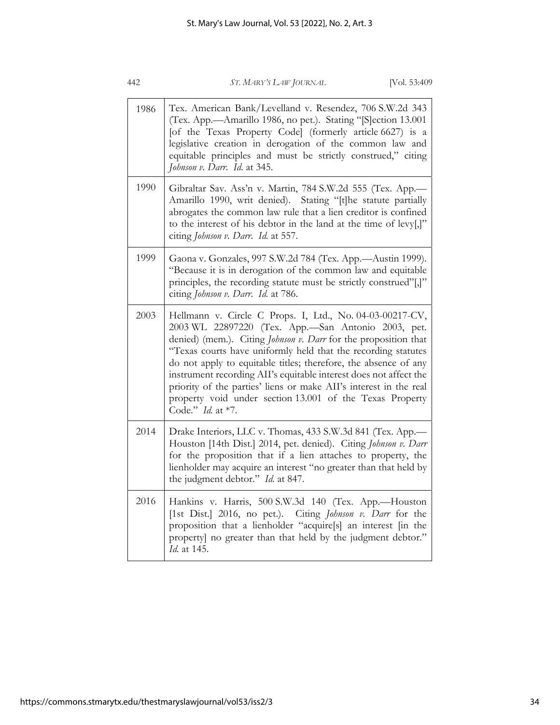| 1986 | Tex. American Bank/Levelland v. Resendez, 706 S.W.2d 343<br>(Tex. App.-Amarillo 1986, no pet.). Stating "[S]ection 13.001<br>[of the Texas Property Code] (formerly article 6627) is a<br>legislative creation in derogation of the common law and<br>equitable principles and must be strictly construed," citing<br>Johnson v. Darr. Id. at 345.                                                                                                                                                                                                      |
|------|---------------------------------------------------------------------------------------------------------------------------------------------------------------------------------------------------------------------------------------------------------------------------------------------------------------------------------------------------------------------------------------------------------------------------------------------------------------------------------------------------------------------------------------------------------|
| 1990 | Gibraltar Sav. Ass'n v. Martin, 784 S.W.2d 555 (Tex. App.<br>Amarillo 1990, writ denied). Stating "[t]he statute partially<br>abrogates the common law rule that a lien creditor is confined<br>to the interest of his debtor in the land at the time of levy[,]"<br>citing Johnson v. Darr. Id. at 557.                                                                                                                                                                                                                                                |
| 1999 | Gaona v. Gonzales, 997 S.W.2d 784 (Tex. App.-Austin 1999).<br>"Because it is in derogation of the common law and equitable<br>principles, the recording statute must be strictly construed"[,]"<br>citing Johnson v. Darr. Id. at 786.                                                                                                                                                                                                                                                                                                                  |
| 2003 | Hellmann v. Circle C Props. I, Ltd., No. 04-03-00217-CV,<br>2003 WL 22897220 (Tex. App.-San Antonio 2003, pet.<br>denied) (mem.). Citing Johnson v. Darr for the proposition that<br>"Texas courts have uniformly held that the recording statutes<br>do not apply to equitable titles; therefore, the absence of any<br>instrument recording AII's equitable interest does not affect the<br>priority of the parties' liens or make AII's interest in the real<br>property void under section 13.001 of the Texas Property<br>Code." <i>Id.</i> at *7. |
| 2014 | Drake Interiors, LLC v. Thomas, 433 S.W.3d 841 (Tex. App.-<br>Houston [14th Dist.] 2014, pet. denied). Citing Johnson v. Darr<br>for the proposition that if a lien attaches to property, the<br>lienholder may acquire an interest "no greater than that held by<br>the judgment debtor." Id. at 847.                                                                                                                                                                                                                                                  |
| 2016 | Hankins v. Harris, 500 S.W.3d 140 (Tex. App.-Houston<br>[1st Dist.] 2016, no pet.). Citing Johnson v. Darr for the<br>proposition that a lienholder "acquire[s] an interest [in the<br>property] no greater than that held by the judgment debtor."<br>Id. at 145.                                                                                                                                                                                                                                                                                      |